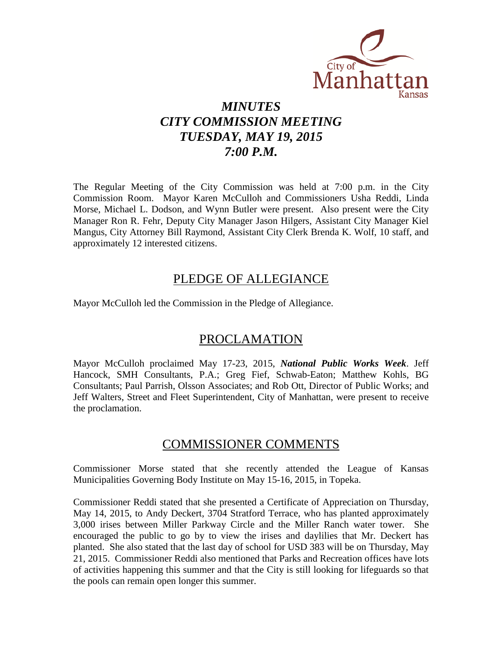

# *MINUTES CITY COMMISSION MEETING TUESDAY, MAY 19, 2015 7:00 P.M.*

The Regular Meeting of the City Commission was held at 7:00 p.m. in the City Commission Room. Mayor Karen McCulloh and Commissioners Usha Reddi, Linda Morse, Michael L. Dodson, and Wynn Butler were present. Also present were the City Manager Ron R. Fehr, Deputy City Manager Jason Hilgers, Assistant City Manager Kiel Mangus, City Attorney Bill Raymond, Assistant City Clerk Brenda K. Wolf, 10 staff, and approximately 12 interested citizens.

## PLEDGE OF ALLEGIANCE

Mayor McCulloh led the Commission in the Pledge of Allegiance.

## PROCLAMATION

Mayor McCulloh proclaimed May 17-23, 2015, *National Public Works Week*. Jeff Hancock, SMH Consultants, P.A.; Greg Fief, Schwab-Eaton; Matthew Kohls, BG Consultants; Paul Parrish, Olsson Associates; and Rob Ott, Director of Public Works; and Jeff Walters, Street and Fleet Superintendent, City of Manhattan, were present to receive the proclamation.

## COMMISSIONER COMMENTS

Commissioner Morse stated that she recently attended the League of Kansas Municipalities Governing Body Institute on May 15-16, 2015, in Topeka.

Commissioner Reddi stated that she presented a Certificate of Appreciation on Thursday, May 14, 2015, to Andy Deckert, 3704 Stratford Terrace, who has planted approximately 3,000 irises between Miller Parkway Circle and the Miller Ranch water tower. She encouraged the public to go by to view the irises and daylilies that Mr. Deckert has planted. She also stated that the last day of school for USD 383 will be on Thursday, May 21, 2015. Commissioner Reddi also mentioned that Parks and Recreation offices have lots of activities happening this summer and that the City is still looking for lifeguards so that the pools can remain open longer this summer.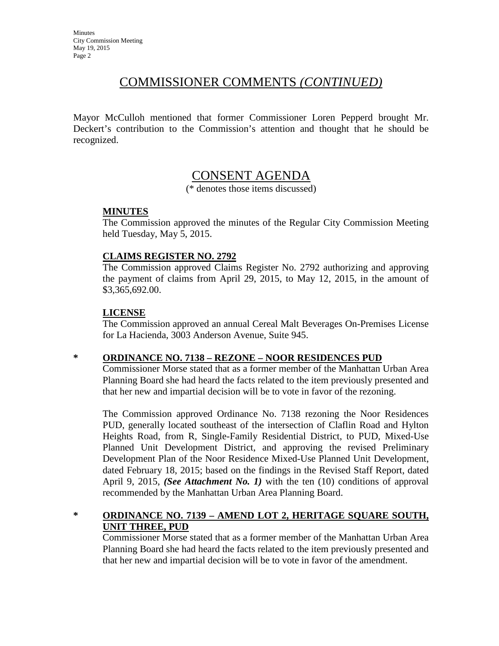## COMMISSIONER COMMENTS *(CONTINUED)*

Mayor McCulloh mentioned that former Commissioner Loren Pepperd brought Mr. Deckert's contribution to the Commission's attention and thought that he should be recognized.

## CONSENT AGENDA

(\* denotes those items discussed)

### **MINUTES**

The Commission approved the minutes of the Regular City Commission Meeting held Tuesday, May 5, 2015.

## **CLAIMS REGISTER NO. 2792**

The Commission approved Claims Register No. 2792 authorizing and approving the payment of claims from April 29, 2015, to May 12, 2015, in the amount of \$3,365,692.00.

## **LICENSE**

The Commission approved an annual Cereal Malt Beverages On-Premises License for La Hacienda, 3003 Anderson Avenue, Suite 945.

#### **\* ORDINANCE NO. 7138 – REZONE – NOOR RESIDENCES PUD**

Commissioner Morse stated that as a former member of the Manhattan Urban Area Planning Board she had heard the facts related to the item previously presented and that her new and impartial decision will be to vote in favor of the rezoning.

The Commission approved Ordinance No. 7138 rezoning the Noor Residences PUD, generally located southeast of the intersection of Claflin Road and Hylton Heights Road, from R, Single-Family Residential District, to PUD, Mixed-Use Planned Unit Development District, and approving the revised Preliminary Development Plan of the Noor Residence Mixed-Use Planned Unit Development, dated February 18, 2015; based on the findings in the Revised Staff Report, dated April 9, 2015, *(See Attachment No. 1)* with the ten (10) conditions of approval recommended by the Manhattan Urban Area Planning Board.

## **\* ORDINANCE NO. 7139 – AMEND LOT 2, HERITAGE SQUARE SOUTH, UNIT THREE, PUD**

Commissioner Morse stated that as a former member of the Manhattan Urban Area Planning Board she had heard the facts related to the item previously presented and that her new and impartial decision will be to vote in favor of the amendment.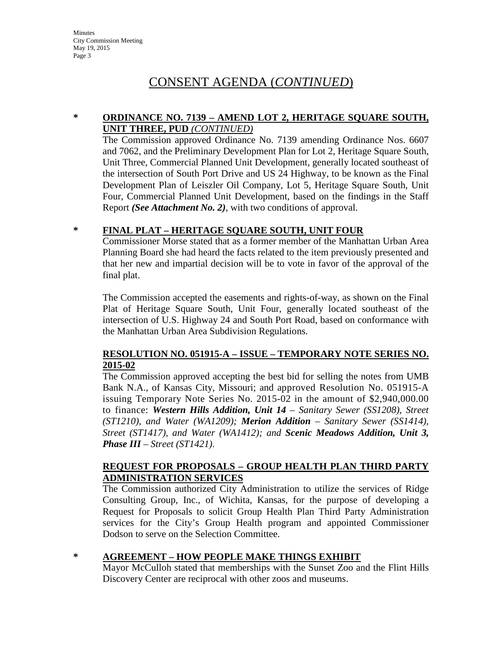# CONSENT AGENDA (*CONTINUED*)

#### **\* ORDINANCE NO. 7139 – AMEND LOT 2, HERITAGE SQUARE SOUTH, UNIT THREE, PUD** *(CONTINUED)*

The Commission approved Ordinance No. 7139 amending Ordinance Nos. 6607 and 7062, and the Preliminary Development Plan for Lot 2, Heritage Square South, Unit Three, Commercial Planned Unit Development, generally located southeast of the intersection of South Port Drive and US 24 Highway, to be known as the Final Development Plan of Leiszler Oil Company, Lot 5, Heritage Square South, Unit Four, Commercial Planned Unit Development, based on the findings in the Staff Report *(See Attachment No. 2)*, with two conditions of approval.

## **\* FINAL PLAT – HERITAGE SQUARE SOUTH, UNIT FOUR**

Commissioner Morse stated that as a former member of the Manhattan Urban Area Planning Board she had heard the facts related to the item previously presented and that her new and impartial decision will be to vote in favor of the approval of the final plat.

The Commission accepted the easements and rights-of-way, as shown on the Final Plat of Heritage Square South, Unit Four, generally located southeast of the intersection of U.S. Highway 24 and South Port Road, based on conformance with the Manhattan Urban Area Subdivision Regulations.

### **RESOLUTION NO. 051915-A – ISSUE – TEMPORARY NOTE SERIES NO. 2015-02**

The Commission approved accepting the best bid for selling the notes from UMB Bank N.A., of Kansas City, Missouri; and approved Resolution No. 051915-A issuing Temporary Note Series No. 2015-02 in the amount of \$2,940,000.00 to finance: *Western Hills Addition, Unit 14 – Sanitary Sewer (SS1208), Street (ST1210), and Water (WA1209); Merion Addition – Sanitary Sewer (SS1414), Street (ST1417), and Water (WA1412); and Scenic Meadows Addition, Unit 3, Phase III – Street (ST1421)*.

### **REQUEST FOR PROPOSALS – GROUP HEALTH PLAN THIRD PARTY ADMINISTRATION SERVICES**

The Commission authorized City Administration to utilize the services of Ridge Consulting Group, Inc., of Wichita, Kansas, for the purpose of developing a Request for Proposals to solicit Group Health Plan Third Party Administration services for the City's Group Health program and appointed Commissioner Dodson to serve on the Selection Committee.

## **\* AGREEMENT – HOW PEOPLE MAKE THINGS EXHIBIT**

Mayor McCulloh stated that memberships with the Sunset Zoo and the Flint Hills Discovery Center are reciprocal with other zoos and museums.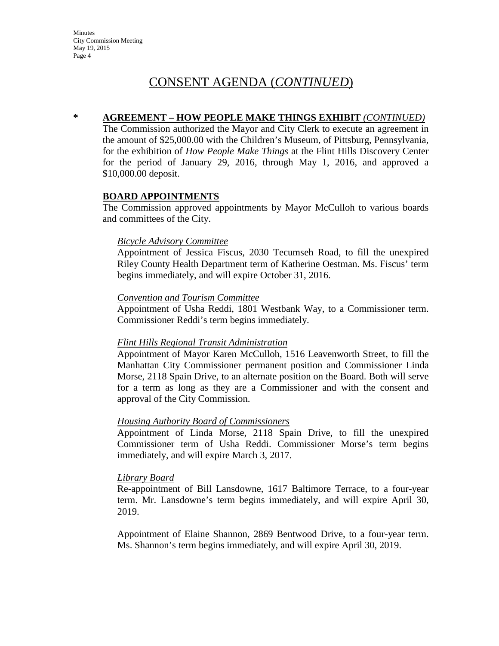# CONSENT AGENDA (*CONTINUED*)

### **\* AGREEMENT – HOW PEOPLE MAKE THINGS EXHIBIT** *(CONTINUED)*

The Commission authorized the Mayor and City Clerk to execute an agreement in the amount of \$25,000.00 with the Children's Museum, of Pittsburg, Pennsylvania, for the exhibition of *How People Make Things* at the Flint Hills Discovery Center for the period of January 29, 2016, through May 1, 2016, and approved a \$10,000.00 deposit.

### **BOARD APPOINTMENTS**

The Commission approved appointments by Mayor McCulloh to various boards and committees of the City.

#### *Bicycle Advisory Committee*

Appointment of Jessica Fiscus, 2030 Tecumseh Road, to fill the unexpired Riley County Health Department term of Katherine Oestman. Ms. Fiscus' term begins immediately, and will expire October 31, 2016.

#### *Convention and Tourism Committee*

Appointment of Usha Reddi, 1801 Westbank Way, to a Commissioner term. Commissioner Reddi's term begins immediately.

#### *Flint Hills Regional Transit Administration*

Appointment of Mayor Karen McCulloh, 1516 Leavenworth Street, to fill the Manhattan City Commissioner permanent position and Commissioner Linda Morse, 2118 Spain Drive, to an alternate position on the Board. Both will serve for a term as long as they are a Commissioner and with the consent and approval of the City Commission.

#### *Housing Authority Board of Commissioners*

Appointment of Linda Morse, 2118 Spain Drive, to fill the unexpired Commissioner term of Usha Reddi. Commissioner Morse's term begins immediately, and will expire March 3, 2017.

#### *Library Board*

Re-appointment of Bill Lansdowne, 1617 Baltimore Terrace, to a four-year term. Mr. Lansdowne's term begins immediately, and will expire April 30, 2019.

Appointment of Elaine Shannon, 2869 Bentwood Drive, to a four-year term. Ms. Shannon's term begins immediately, and will expire April 30, 2019.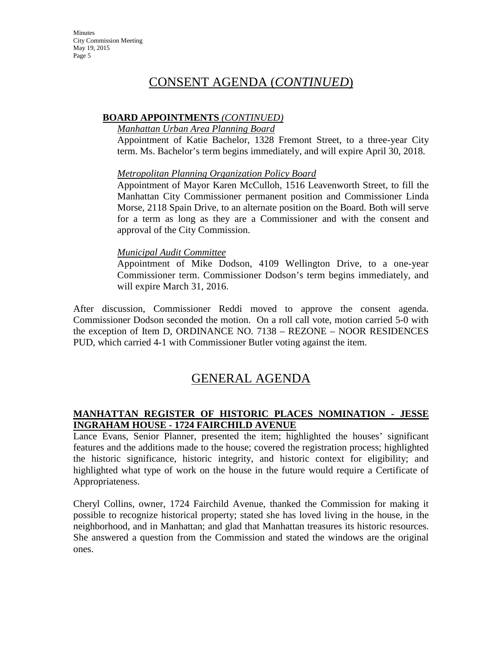## CONSENT AGENDA (*CONTINUED*)

### **BOARD APPOINTMENTS** *(CONTINUED)*

#### *Manhattan Urban Area Planning Board*

Appointment of Katie Bachelor, 1328 Fremont Street, to a three-year City term. Ms. Bachelor's term begins immediately, and will expire April 30, 2018.

### *Metropolitan Planning Organization Policy Board*

Appointment of Mayor Karen McCulloh, 1516 Leavenworth Street, to fill the Manhattan City Commissioner permanent position and Commissioner Linda Morse, 2118 Spain Drive, to an alternate position on the Board. Both will serve for a term as long as they are a Commissioner and with the consent and approval of the City Commission.

### *Municipal Audit Committee*

Appointment of Mike Dodson, 4109 Wellington Drive, to a one-year Commissioner term. Commissioner Dodson's term begins immediately, and will expire March 31, 2016.

After discussion, Commissioner Reddi moved to approve the consent agenda. Commissioner Dodson seconded the motion. On a roll call vote, motion carried 5-0 with the exception of Item D, ORDINANCE NO. 7138 – REZONE – NOOR RESIDENCES PUD, which carried 4-1 with Commissioner Butler voting against the item.

# GENERAL AGENDA

## **MANHATTAN REGISTER OF HISTORIC PLACES NOMINATION - JESSE INGRAHAM HOUSE - 1724 FAIRCHILD AVENUE**

Lance Evans, Senior Planner, presented the item; highlighted the houses' significant features and the additions made to the house; covered the registration process; highlighted the historic significance, historic integrity, and historic context for eligibility; and highlighted what type of work on the house in the future would require a Certificate of Appropriateness.

Cheryl Collins, owner, 1724 Fairchild Avenue, thanked the Commission for making it possible to recognize historical property; stated she has loved living in the house, in the neighborhood, and in Manhattan; and glad that Manhattan treasures its historic resources. She answered a question from the Commission and stated the windows are the original ones.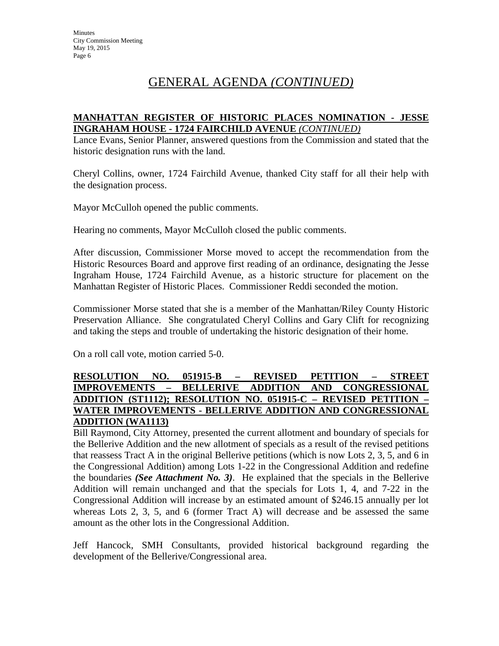# GENERAL AGENDA *(CONTINUED)*

### **MANHATTAN REGISTER OF HISTORIC PLACES NOMINATION - JESSE INGRAHAM HOUSE - 1724 FAIRCHILD AVENUE** *(CONTINUED)*

Lance Evans, Senior Planner, answered questions from the Commission and stated that the historic designation runs with the land.

Cheryl Collins, owner, 1724 Fairchild Avenue, thanked City staff for all their help with the designation process.

Mayor McCulloh opened the public comments.

Hearing no comments, Mayor McCulloh closed the public comments.

After discussion, Commissioner Morse moved to accept the recommendation from the Historic Resources Board and approve first reading of an ordinance, designating the Jesse Ingraham House, 1724 Fairchild Avenue, as a historic structure for placement on the Manhattan Register of Historic Places. Commissioner Reddi seconded the motion.

Commissioner Morse stated that she is a member of the Manhattan/Riley County Historic Preservation Alliance. She congratulated Cheryl Collins and Gary Clift for recognizing and taking the steps and trouble of undertaking the historic designation of their home.

On a roll call vote, motion carried 5-0.

### **RESOLUTION NO. 051915-B – REVISED PETITION – STREET IMPROVEMENTS – BELLERIVE ADDITION AND CONGRESSIONAL ADDITION (ST1112); RESOLUTION NO. 051915-C – REVISED PETITION – WATER IMPROVEMENTS - BELLERIVE ADDITION AND CONGRESSIONAL ADDITION (WA1113)**

Bill Raymond, City Attorney, presented the current allotment and boundary of specials for the Bellerive Addition and the new allotment of specials as a result of the revised petitions that reassess Tract A in the original Bellerive petitions (which is now Lots 2, 3, 5, and 6 in the Congressional Addition) among Lots 1-22 in the Congressional Addition and redefine the boundaries *(See Attachment No. 3)*. He explained that the specials in the Bellerive Addition will remain unchanged and that the specials for Lots 1, 4, and 7-22 in the Congressional Addition will increase by an estimated amount of \$246.15 annually per lot whereas Lots 2, 3, 5, and 6 (former Tract A) will decrease and be assessed the same amount as the other lots in the Congressional Addition.

Jeff Hancock, SMH Consultants, provided historical background regarding the development of the Bellerive/Congressional area.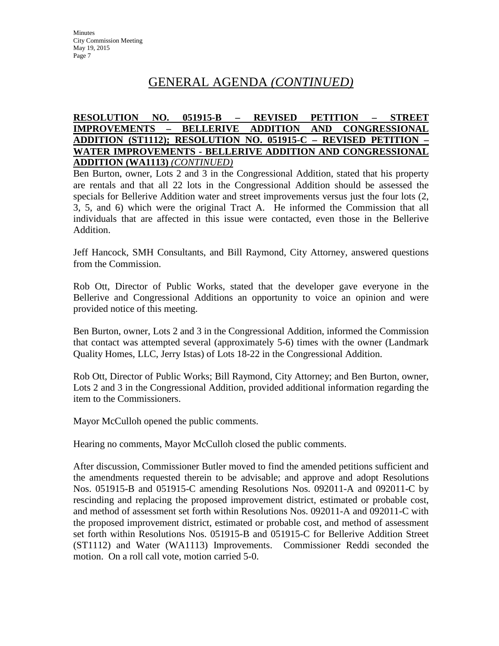# GENERAL AGENDA *(CONTINUED)*

### **RESOLUTION NO. 051915-B – REVISED PETITION – STREET IMPROVEMENTS – BELLERIVE ADDITION AND CONGRESSIONAL ADDITION (ST1112); RESOLUTION NO. 051915-C – REVISED PETITION – WATER IMPROVEMENTS - BELLERIVE ADDITION AND CONGRESSIONAL ADDITION (WA1113)** *(CONTINUED)*

Ben Burton, owner, Lots 2 and 3 in the Congressional Addition, stated that his property are rentals and that all 22 lots in the Congressional Addition should be assessed the specials for Bellerive Addition water and street improvements versus just the four lots (2, 3, 5, and 6) which were the original Tract A. He informed the Commission that all individuals that are affected in this issue were contacted, even those in the Bellerive Addition.

Jeff Hancock, SMH Consultants, and Bill Raymond, City Attorney, answered questions from the Commission.

Rob Ott, Director of Public Works, stated that the developer gave everyone in the Bellerive and Congressional Additions an opportunity to voice an opinion and were provided notice of this meeting.

Ben Burton, owner, Lots 2 and 3 in the Congressional Addition, informed the Commission that contact was attempted several (approximately 5-6) times with the owner (Landmark Quality Homes, LLC, Jerry Istas) of Lots 18-22 in the Congressional Addition.

Rob Ott, Director of Public Works; Bill Raymond, City Attorney; and Ben Burton, owner, Lots 2 and 3 in the Congressional Addition, provided additional information regarding the item to the Commissioners.

Mayor McCulloh opened the public comments.

Hearing no comments, Mayor McCulloh closed the public comments.

After discussion, Commissioner Butler moved to find the amended petitions sufficient and the amendments requested therein to be advisable; and approve and adopt Resolutions Nos. 051915-B and 051915-C amending Resolutions Nos. 092011-A and 092011-C by rescinding and replacing the proposed improvement district, estimated or probable cost, and method of assessment set forth within Resolutions Nos. 092011-A and 092011-C with the proposed improvement district, estimated or probable cost, and method of assessment set forth within Resolutions Nos. 051915-B and 051915-C for Bellerive Addition Street (ST1112) and Water (WA1113) Improvements. Commissioner Reddi seconded the motion. On a roll call vote, motion carried 5-0.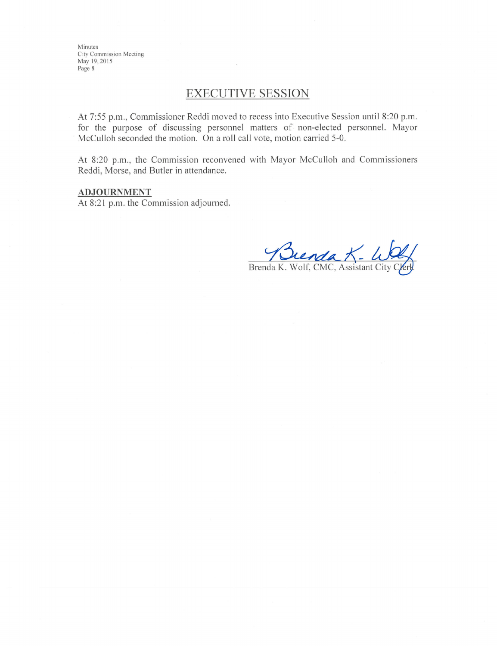Minutes City Commission Meeting May 19, 2015 Page 8

## **EXECUTIVE SESSION**

At 7:55 p.m., Commissioner Reddi moved to recess into Executive Session until 8:20 p.m. for the purpose of discussing personnel matters of non-elected personnel. Mayor McCulloh seconded the motion. On a roll call vote, motion carried 5-0.

At 8:20 p.m., the Commission reconvened with Mayor McCulloh and Commissioners Reddi, Morse, and Butler in attendance.

#### **ADJOURNMENT**

At 8:21 p.m. the Commission adjourned.

Brenda K. Wolf, CMC, Assistant City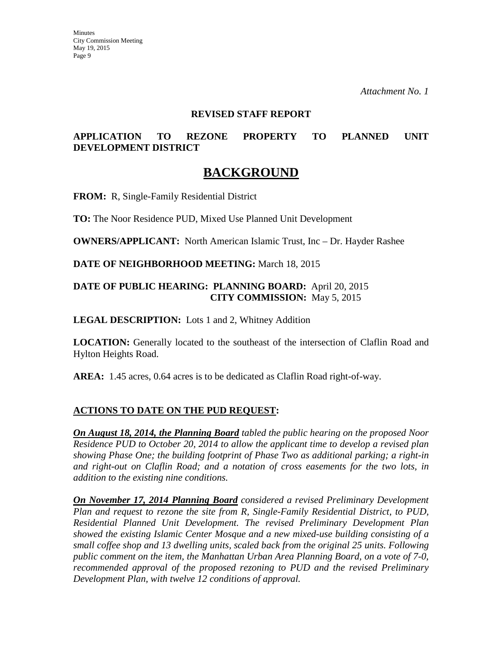#### **REVISED STAFF REPORT**

## **APPLICATION TO REZONE PROPERTY TO PLANNED UNIT DEVELOPMENT DISTRICT**

## **BACKGROUND**

**FROM:** R, Single-Family Residential District

**TO:** The Noor Residence PUD, Mixed Use Planned Unit Development

**OWNERS/APPLICANT:** North American Islamic Trust, Inc – Dr. Hayder Rashee

**DATE OF NEIGHBORHOOD MEETING:** March 18, 2015

### **DATE OF PUBLIC HEARING: PLANNING BOARD:** April 20, 2015 **CITY COMMISSION:** May 5, 2015

#### **LEGAL DESCRIPTION:** Lots 1 and 2, Whitney Addition

**LOCATION:** Generally located to the southeast of the intersection of Claflin Road and Hylton Heights Road.

**AREA:** 1.45 acres, 0.64 acres is to be dedicated as Claflin Road right-of-way.

## **ACTIONS TO DATE ON THE PUD REQUEST:**

*On August 18, 2014, the Planning Board tabled the public hearing on the proposed Noor Residence PUD to October 20, 2014 to allow the applicant time to develop a revised plan showing Phase One; the building footprint of Phase Two as additional parking; a right-in and right-out on Claflin Road; and a notation of cross easements for the two lots, in addition to the existing nine conditions.*

*On November 17, 2014 Planning Board considered a revised Preliminary Development Plan and request to rezone the site from R, Single-Family Residential District, to PUD, Residential Planned Unit Development. The revised Preliminary Development Plan showed the existing Islamic Center Mosque and a new mixed-use building consisting of a small coffee shop and 13 dwelling units, scaled back from the original 25 units. Following public comment on the item, the Manhattan Urban Area Planning Board, on a vote of 7-0, recommended approval of the proposed rezoning to PUD and the revised Preliminary Development Plan, with twelve 12 conditions of approval.*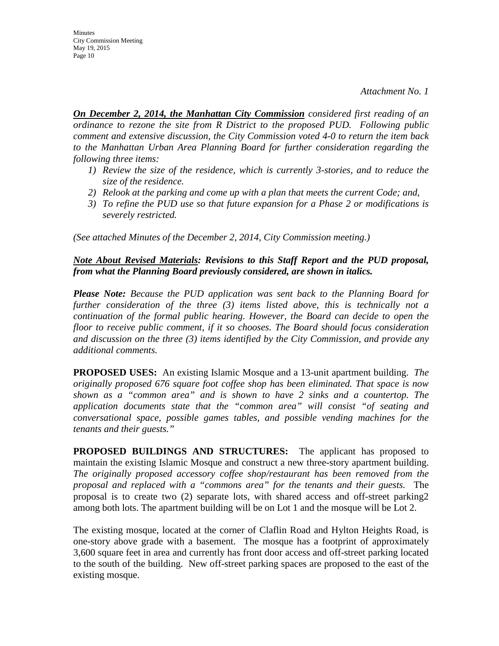**Minutes** City Commission Meeting May 19, 2015 Page 10

*On December 2, 2014, the Manhattan City Commission considered first reading of an ordinance to rezone the site from R District to the proposed PUD. Following public comment and extensive discussion, the City Commission voted 4-0 to return the item back to the Manhattan Urban Area Planning Board for further consideration regarding the following three items:*

- *1) Review the size of the residence, which is currently 3-stories, and to reduce the size of the residence.*
- *2) Relook at the parking and come up with a plan that meets the current Code; and,*
- *3) To refine the PUD use so that future expansion for a Phase 2 or modifications is severely restricted.*

*(See attached Minutes of the December 2, 2014, City Commission meeting.)* 

### *Note About Revised Materials: Revisions to this Staff Report and the PUD proposal, from what the Planning Board previously considered, are shown in italics.*

*Please Note: Because the PUD application was sent back to the Planning Board for further consideration of the three (3) items listed above, this is technically not a continuation of the formal public hearing. However, the Board can decide to open the floor to receive public comment, if it so chooses. The Board should focus consideration and discussion on the three (3) items identified by the City Commission, and provide any additional comments.*

**PROPOSED USES:** An existing Islamic Mosque and a 13-unit apartment building. *The originally proposed 676 square foot coffee shop has been eliminated. That space is now shown as a "common area" and is shown to have 2 sinks and a countertop. The application documents state that the "common area" will consist "of seating and conversational space, possible games tables, and possible vending machines for the tenants and their guests."*

**PROPOSED BUILDINGS AND STRUCTURES:** The applicant has proposed to maintain the existing Islamic Mosque and construct a new three-story apartment building. *The originally proposed accessory coffee shop/restaurant has been removed from the proposal and replaced with a "commons area" for the tenants and their guests.* The proposal is to create two (2) separate lots, with shared access and off-street parking2 among both lots. The apartment building will be on Lot 1 and the mosque will be Lot 2.

The existing mosque, located at the corner of Claflin Road and Hylton Heights Road, is one-story above grade with a basement. The mosque has a footprint of approximately 3,600 square feet in area and currently has front door access and off-street parking located to the south of the building. New off-street parking spaces are proposed to the east of the existing mosque.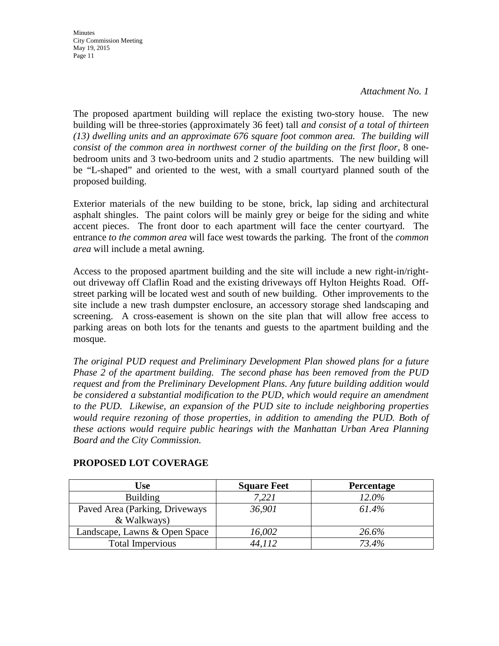**Minutes** City Commission Meeting May 19, 2015 Page 11

The proposed apartment building will replace the existing two-story house. The new building will be three-stories (approximately 36 feet) tall *and consist of a total of thirteen (13) dwelling units and an approximate 676 square foot common area. The building will consist of the common area in northwest corner of the building on the first floor,* 8 onebedroom units and 3 two-bedroom units and 2 studio apartments. The new building will be "L-shaped" and oriented to the west, with a small courtyard planned south of the proposed building.

Exterior materials of the new building to be stone, brick, lap siding and architectural asphalt shingles. The paint colors will be mainly grey or beige for the siding and white accent pieces. The front door to each apartment will face the center courtyard. The entrance *to the common area* will face west towards the parking. The front of the *common area* will include a metal awning.

Access to the proposed apartment building and the site will include a new right-in/rightout driveway off Claflin Road and the existing driveways off Hylton Heights Road. Offstreet parking will be located west and south of new building. Other improvements to the site include a new trash dumpster enclosure, an accessory storage shed landscaping and screening. A cross-easement is shown on the site plan that will allow free access to parking areas on both lots for the tenants and guests to the apartment building and the mosque.

*The original PUD request and Preliminary Development Plan showed plans for a future Phase 2 of the apartment building. The second phase has been removed from the PUD request and from the Preliminary Development Plans. Any future building addition would be considered a substantial modification to the PUD, which would require an amendment to the PUD. Likewise, an expansion of the PUD site to include neighboring properties*  would require rezoning of those properties, in addition to amending the PUD. Both of *these actions would require public hearings with the Manhattan Urban Area Planning Board and the City Commission.*

| Use                            | <b>Square Feet</b> | <b>Percentage</b> |
|--------------------------------|--------------------|-------------------|
| <b>Building</b>                | 7,221              | $12.0\%$          |
| Paved Area (Parking, Driveways | 36,901             | 61.4%             |
| & Walkways)                    |                    |                   |
| Landscape, Lawns & Open Space  | 16,002             | 26.6%             |
| <b>Total Impervious</b>        | 44,112             | 73.4%             |

#### **PROPOSED LOT COVERAGE**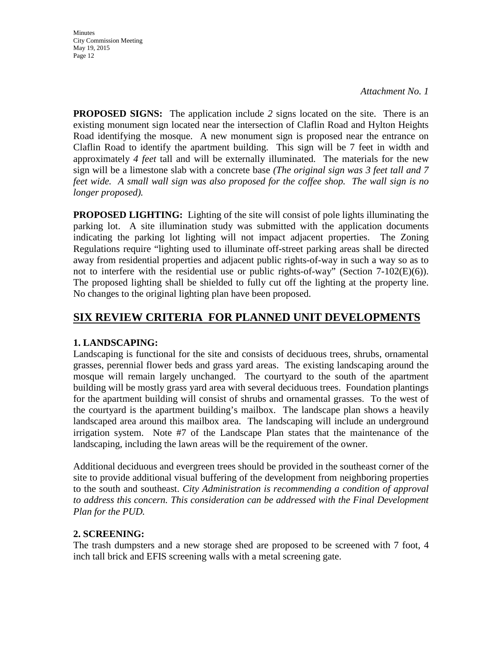**Minutes** City Commission Meeting May 19, 2015 Page 12

**PROPOSED SIGNS:** The application include *2* signs located on the site. There is an existing monument sign located near the intersection of Claflin Road and Hylton Heights Road identifying the mosque. A new monument sign is proposed near the entrance on Claflin Road to identify the apartment building. This sign will be 7 feet in width and approximately *4 feet* tall and will be externally illuminated. The materials for the new sign will be a limestone slab with a concrete base *(The original sign was 3 feet tall and 7 feet wide. A small wall sign was also proposed for the coffee shop. The wall sign is no longer proposed).* 

**PROPOSED LIGHTING:** Lighting of the site will consist of pole lights illuminating the parking lot. A site illumination study was submitted with the application documents indicating the parking lot lighting will not impact adjacent properties. The Zoning Regulations require "lighting used to illuminate off-street parking areas shall be directed away from residential properties and adjacent public rights-of-way in such a way so as to not to interfere with the residential use or public rights-of-way" (Section 7-102(E)(6)). The proposed lighting shall be shielded to fully cut off the lighting at the property line. No changes to the original lighting plan have been proposed.

## **SIX REVIEW CRITERIA FOR PLANNED UNIT DEVELOPMENTS**

## **1. LANDSCAPING:**

Landscaping is functional for the site and consists of deciduous trees, shrubs, ornamental grasses, perennial flower beds and grass yard areas. The existing landscaping around the mosque will remain largely unchanged. The courtyard to the south of the apartment building will be mostly grass yard area with several deciduous trees. Foundation plantings for the apartment building will consist of shrubs and ornamental grasses. To the west of the courtyard is the apartment building's mailbox. The landscape plan shows a heavily landscaped area around this mailbox area. The landscaping will include an underground irrigation system. Note #7 of the Landscape Plan states that the maintenance of the landscaping, including the lawn areas will be the requirement of the owner.

Additional deciduous and evergreen trees should be provided in the southeast corner of the site to provide additional visual buffering of the development from neighboring properties to the south and southeast. *City Administration is recommending a condition of approval to address this concern. This consideration can be addressed with the Final Development Plan for the PUD.*

## **2. SCREENING:**

The trash dumpsters and a new storage shed are proposed to be screened with 7 foot, 4 inch tall brick and EFIS screening walls with a metal screening gate.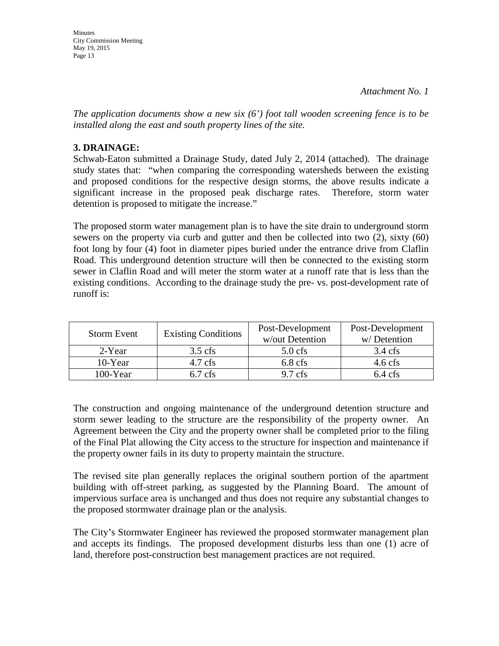*The application documents show a new six (6') foot tall wooden screening fence is to be installed along the east and south property lines of the site.*

## **3. DRAINAGE:**

Schwab-Eaton submitted a Drainage Study, dated July 2, 2014 (attached)*.* The drainage study states that: "when comparing the corresponding watersheds between the existing and proposed conditions for the respective design storms, the above results indicate a significant increase in the proposed peak discharge rates. Therefore, storm water detention is proposed to mitigate the increase."

The proposed storm water management plan is to have the site drain to underground storm sewers on the property via curb and gutter and then be collected into two (2), sixty (60) foot long by four (4) foot in diameter pipes buried under the entrance drive from Claflin Road. This underground detention structure will then be connected to the existing storm sewer in Claflin Road and will meter the storm water at a runoff rate that is less than the existing conditions. According to the drainage study the pre- vs. post-development rate of runoff is:

| <b>Storm Event</b> | <b>Existing Conditions</b> | Post-Development<br>w/out Detention | Post-Development<br>w/Detention |
|--------------------|----------------------------|-------------------------------------|---------------------------------|
| 2-Year             | $3.5$ cfs                  | $5.0$ cfs                           | $3.4 \text{ cfs}$               |
| $10$ -Year         | $4.7 \text{ cfs}$          | $6.8$ cfs                           | $4.6 \text{ cfs}$               |
| $100 - Year$       | $6.7$ cfs                  | $9.7$ cfs                           | $6.4$ cfs                       |

The construction and ongoing maintenance of the underground detention structure and storm sewer leading to the structure are the responsibility of the property owner. An Agreement between the City and the property owner shall be completed prior to the filing of the Final Plat allowing the City access to the structure for inspection and maintenance if the property owner fails in its duty to property maintain the structure.

The revised site plan generally replaces the original southern portion of the apartment building with off-street parking, as suggested by the Planning Board. The amount of impervious surface area is unchanged and thus does not require any substantial changes to the proposed stormwater drainage plan or the analysis.

The City's Stormwater Engineer has reviewed the proposed stormwater management plan and accepts its findings. The proposed development disturbs less than one (1) acre of land, therefore post-construction best management practices are not required.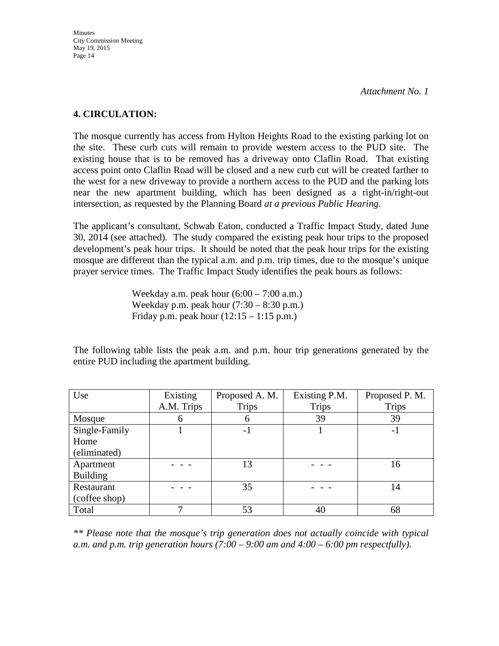### **4. CIRCULATION:**

The mosque currently has access from Hylton Heights Road to the existing parking lot on the site. These curb cuts will remain to provide western access to the PUD site. The existing house that is to be removed has a driveway onto Claflin Road. That existing access point onto Claflin Road will be closed and a new curb cut will be created farther to the west for a new driveway to provide a northern access to the PUD and the parking lots near the new apartment building, which has been designed as a right-in/right-out intersection, as requested by the Planning Board *at a previous Public Hearing.*

The applicant's consultant, Schwab Eaton, conducted a Traffic Impact Study, dated June 30, 2014 (see attached)*.* The study compared the existing peak hour trips to the proposed development's peak hour trips. It should be noted that the peak hour trips for the existing mosque are different than the typical a.m. and p.m. trip times, due to the mosque's unique prayer service times. The Traffic Impact Study identifies the peak hours as follows:

> Weekday a.m. peak hour  $(6:00 - 7:00 \text{ a.m.})$ Weekday p.m. peak hour  $(7:30 - 8:30)$  p.m.) Friday p.m. peak hour  $(12:15 - 1:15 \text{ p.m.})$

The following table lists the peak a.m. and p.m. hour trip generations generated by the entire PUD including the apartment building.

| Use             | Existing   | Proposed A. M. | Existing P.M. | Proposed P. M. |
|-----------------|------------|----------------|---------------|----------------|
|                 | A.M. Trips | <b>Trips</b>   | <b>Trips</b>  | <b>Trips</b>   |
| Mosque          | 6          | 6              | 39            | 39             |
| Single-Family   |            | -1             |               | $-1$           |
| Home            |            |                |               |                |
| (eliminated)    |            |                |               |                |
| Apartment       |            | 13             |               | 16             |
| <b>Building</b> |            |                |               |                |
| Restaurant      |            | 35             |               | 14             |
| (coffee shop)   |            |                |               |                |
| Total           |            | 53             | 40            | 68             |

*\*\* Please note that the mosque's trip generation does not actually coincide with typical a.m. and p.m. trip generation hours (7:00 – 9:00 am and 4:00 – 6:00 pm respectfully).*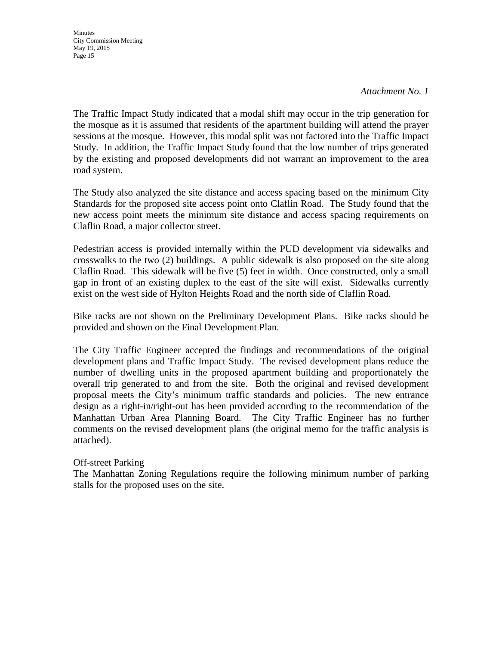**Minutes** City Commission Meeting May 19, 2015 Page 15

#### *Attachment No. 1*

The Traffic Impact Study indicated that a modal shift may occur in the trip generation for the mosque as it is assumed that residents of the apartment building will attend the prayer sessions at the mosque. However, this modal split was not factored into the Traffic Impact Study. In addition, the Traffic Impact Study found that the low number of trips generated by the existing and proposed developments did not warrant an improvement to the area road system.

The Study also analyzed the site distance and access spacing based on the minimum City Standards for the proposed site access point onto Claflin Road. The Study found that the new access point meets the minimum site distance and access spacing requirements on Claflin Road, a major collector street.

Pedestrian access is provided internally within the PUD development via sidewalks and crosswalks to the two (2) buildings. A public sidewalk is also proposed on the site along Claflin Road. This sidewalk will be five (5) feet in width. Once constructed, only a small gap in front of an existing duplex to the east of the site will exist. Sidewalks currently exist on the west side of Hylton Heights Road and the north side of Claflin Road.

Bike racks are not shown on the Preliminary Development Plans. Bike racks should be provided and shown on the Final Development Plan.

The City Traffic Engineer accepted the findings and recommendations of the original development plans and Traffic Impact Study. The revised development plans reduce the number of dwelling units in the proposed apartment building and proportionately the overall trip generated to and from the site. Both the original and revised development proposal meets the City's minimum traffic standards and policies. The new entrance design as a right-in/right-out has been provided according to the recommendation of the Manhattan Urban Area Planning Board. The City Traffic Engineer has no further comments on the revised development plans (the original memo for the traffic analysis is attached).

#### Off-street Parking

The Manhattan Zoning Regulations require the following minimum number of parking stalls for the proposed uses on the site.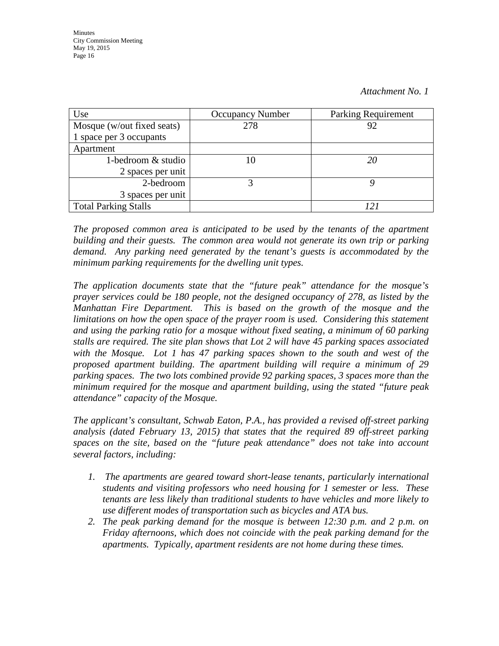| Use                         | <b>Occupancy Number</b> | <b>Parking Requirement</b> |
|-----------------------------|-------------------------|----------------------------|
| Mosque (w/out fixed seats)  | 278                     | 92                         |
| 1 space per 3 occupants     |                         |                            |
| Apartment                   |                         |                            |
| 1-bedroom $&$ studio        |                         | 20                         |
| 2 spaces per unit           |                         |                            |
| 2-bedroom                   |                         |                            |
| 3 spaces per unit           |                         |                            |
| <b>Total Parking Stalls</b> |                         | 12                         |

*The proposed common area is anticipated to be used by the tenants of the apartment building and their guests. The common area would not generate its own trip or parking demand. Any parking need generated by the tenant's guests is accommodated by the minimum parking requirements for the dwelling unit types.*

*The application documents state that the "future peak" attendance for the mosque's prayer services could be 180 people, not the designed occupancy of 278, as listed by the Manhattan Fire Department. This is based on the growth of the mosque and the limitations on how the open space of the prayer room is used. Considering this statement and using the parking ratio for a mosque without fixed seating, a minimum of 60 parking stalls are required. The site plan shows that Lot 2 will have 45 parking spaces associated with the Mosque. Lot 1 has 47 parking spaces shown to the south and west of the proposed apartment building. The apartment building will require a minimum of 29 parking spaces. The two lots combined provide 92 parking spaces, 3 spaces more than the minimum required for the mosque and apartment building, using the stated "future peak attendance" capacity of the Mosque.* 

*The applicant's consultant, Schwab Eaton, P.A., has provided a revised off-street parking analysis (dated February 13, 2015) that states that the required 89 off-street parking spaces on the site, based on the "future peak attendance" does not take into account several factors, including:*

- *1. The apartments are geared toward short-lease tenants, particularly international students and visiting professors who need housing for 1 semester or less. These tenants are less likely than traditional students to have vehicles and more likely to use different modes of transportation such as bicycles and ATA bus.*
- *2. The peak parking demand for the mosque is between 12:30 p.m. and 2 p.m. on Friday afternoons, which does not coincide with the peak parking demand for the apartments. Typically, apartment residents are not home during these times.*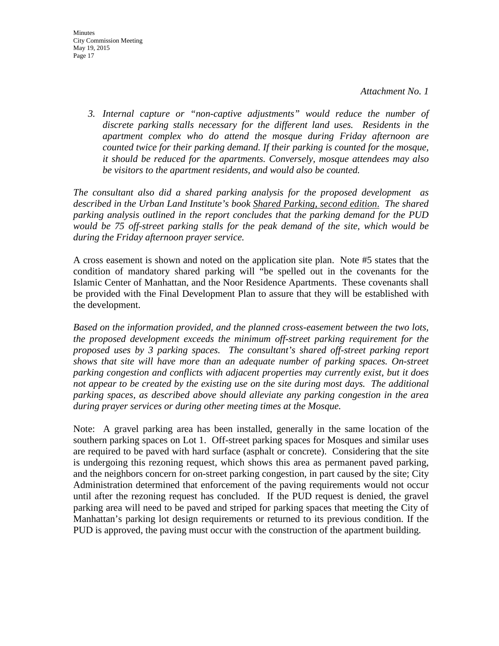*3. Internal capture or "non-captive adjustments" would reduce the number of discrete parking stalls necessary for the different land uses. Residents in the apartment complex who do attend the mosque during Friday afternoon are counted twice for their parking demand. If their parking is counted for the mosque, it should be reduced for the apartments. Conversely, mosque attendees may also be visitors to the apartment residents, and would also be counted.*

*The consultant also did a shared parking analysis for the proposed development as described in the Urban Land Institute's book Shared Parking, second edition*. *The shared parking analysis outlined in the report concludes that the parking demand for the PUD would be 75 off-street parking stalls for the peak demand of the site, which would be during the Friday afternoon prayer service.* 

A cross easement is shown and noted on the application site plan. Note #5 states that the condition of mandatory shared parking will "be spelled out in the covenants for the Islamic Center of Manhattan, and the Noor Residence Apartments. These covenants shall be provided with the Final Development Plan to assure that they will be established with the development.

*Based on the information provided, and the planned cross-easement between the two lots, the proposed development exceeds the minimum off-street parking requirement for the proposed uses by 3 parking spaces. The consultant's shared off-street parking report shows that site will have more than an adequate number of parking spaces. On-street parking congestion and conflicts with adjacent properties may currently exist, but it does not appear to be created by the existing use on the site during most days. The additional parking spaces, as described above should alleviate any parking congestion in the area during prayer services or during other meeting times at the Mosque.*

Note: A gravel parking area has been installed, generally in the same location of the southern parking spaces on Lot 1. Off-street parking spaces for Mosques and similar uses are required to be paved with hard surface (asphalt or concrete). Considering that the site is undergoing this rezoning request, which shows this area as permanent paved parking, and the neighbors concern for on-street parking congestion, in part caused by the site; City Administration determined that enforcement of the paving requirements would not occur until after the rezoning request has concluded. If the PUD request is denied, the gravel parking area will need to be paved and striped for parking spaces that meeting the City of Manhattan's parking lot design requirements or returned to its previous condition. If the PUD is approved, the paving must occur with the construction of the apartment building.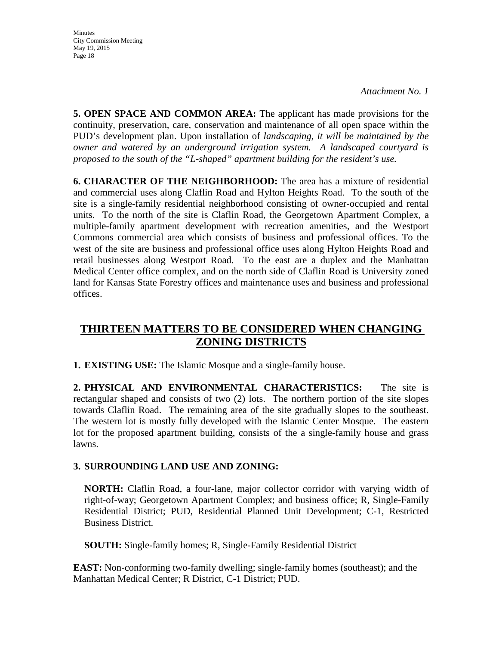**Minutes** City Commission Meeting May 19, 2015 Page 18

**5. OPEN SPACE AND COMMON AREA:** The applicant has made provisions for the continuity, preservation, care, conservation and maintenance of all open space within the PUD's development plan. Upon installation of *landscaping, it will be maintained by the owner and watered by an underground irrigation system. A landscaped courtyard is proposed to the south of the "L-shaped" apartment building for the resident's use.*

**6. CHARACTER OF THE NEIGHBORHOOD:** The area has a mixture of residential and commercial uses along Claflin Road and Hylton Heights Road. To the south of the site is a single-family residential neighborhood consisting of owner-occupied and rental units. To the north of the site is Claflin Road, the Georgetown Apartment Complex, a multiple-family apartment development with recreation amenities, and the Westport Commons commercial area which consists of business and professional offices. To the west of the site are business and professional office uses along Hylton Heights Road and retail businesses along Westport Road. To the east are a duplex and the Manhattan Medical Center office complex, and on the north side of Claflin Road is University zoned land for Kansas State Forestry offices and maintenance uses and business and professional offices.

## **THIRTEEN MATTERS TO BE CONSIDERED WHEN CHANGING ZONING DISTRICTS**

**1. EXISTING USE:** The Islamic Mosque and a single-family house.

**2. PHYSICAL AND ENVIRONMENTAL CHARACTERISTICS:** The site is rectangular shaped and consists of two (2) lots. The northern portion of the site slopes towards Claflin Road. The remaining area of the site gradually slopes to the southeast. The western lot is mostly fully developed with the Islamic Center Mosque. The eastern lot for the proposed apartment building, consists of the a single-family house and grass lawns.

## **3. SURROUNDING LAND USE AND ZONING:**

**NORTH:** Claflin Road, a four-lane, major collector corridor with varying width of right-of-way; Georgetown Apartment Complex; and business office; R, Single-Family Residential District; PUD, Residential Planned Unit Development; C-1, Restricted Business District.

**SOUTH:** Single-family homes; R, Single-Family Residential District

**EAST:** Non-conforming two-family dwelling; single-family homes (southeast); and the Manhattan Medical Center; R District, C-1 District; PUD.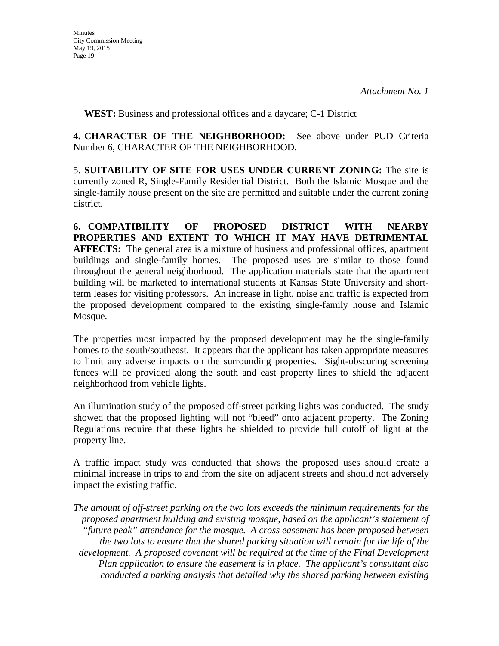**WEST:** Business and professional offices and a daycare; C-1 District

**4. CHARACTER OF THE NEIGHBORHOOD:** See above under PUD Criteria Number 6, CHARACTER OF THE NEIGHBORHOOD.

5. **SUITABILITY OF SITE FOR USES UNDER CURRENT ZONING:** The site is currently zoned R, Single-Family Residential District. Both the Islamic Mosque and the single-family house present on the site are permitted and suitable under the current zoning district.

**6. COMPATIBILITY OF PROPOSED DISTRICT WITH NEARBY PROPERTIES AND EXTENT TO WHICH IT MAY HAVE DETRIMENTAL AFFECTS:** The general area is a mixture of business and professional offices, apartment buildings and single-family homes. The proposed uses are similar to those found throughout the general neighborhood. The application materials state that the apartment building will be marketed to international students at Kansas State University and shortterm leases for visiting professors. An increase in light, noise and traffic is expected from the proposed development compared to the existing single-family house and Islamic Mosque.

The properties most impacted by the proposed development may be the single-family homes to the south/southeast. It appears that the applicant has taken appropriate measures to limit any adverse impacts on the surrounding properties. Sight-obscuring screening fences will be provided along the south and east property lines to shield the adjacent neighborhood from vehicle lights.

An illumination study of the proposed off-street parking lights was conducted. The study showed that the proposed lighting will not "bleed" onto adjacent property. The Zoning Regulations require that these lights be shielded to provide full cutoff of light at the property line.

A traffic impact study was conducted that shows the proposed uses should create a minimal increase in trips to and from the site on adjacent streets and should not adversely impact the existing traffic.

*The amount of off-street parking on the two lots exceeds the minimum requirements for the proposed apartment building and existing mosque, based on the applicant's statement of "future peak" attendance for the mosque. A cross easement has been proposed between the two lots to ensure that the shared parking situation will remain for the life of the development. A proposed covenant will be required at the time of the Final Development Plan application to ensure the easement is in place. The applicant's consultant also conducted a parking analysis that detailed why the shared parking between existing*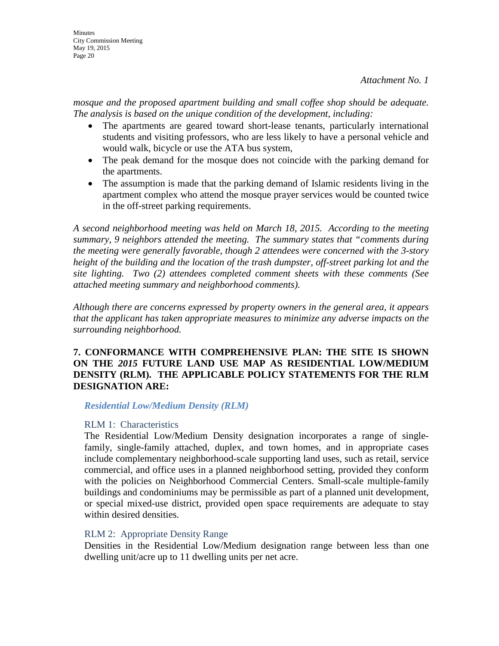mosque and the proposed apartment building and small coffee shop should be adequate. *The analysis is based on the unique condition of the development, including:*

- The apartments are geared toward short-lease tenants, particularly international students and visiting professors, who are less likely to have a personal vehicle and would walk, bicycle or use the ATA bus system,
- The peak demand for the mosque does not coincide with the parking demand for the apartments.
- The assumption is made that the parking demand of Islamic residents living in the apartment complex who attend the mosque prayer services would be counted twice in the off-street parking requirements.

*A second neighborhood meeting was held on March 18, 2015. According to the meeting summary, 9 neighbors attended the meeting. The summary states that "comments during the meeting were generally favorable, though 2 attendees were concerned with the 3-story height of the building and the location of the trash dumpster, off-street parking lot and the site lighting. Two (2) attendees completed comment sheets with these comments (See attached meeting summary and neighborhood comments).*

*Although there are concerns expressed by property owners in the general area, it appears that the applicant has taken appropriate measures to minimize any adverse impacts on the surrounding neighborhood.*

## **7. CONFORMANCE WITH COMPREHENSIVE PLAN: THE SITE IS SHOWN ON THE** *2015* **FUTURE LAND USE MAP AS RESIDENTIAL LOW/MEDIUM DENSITY (RLM). THE APPLICABLE POLICY STATEMENTS FOR THE RLM DESIGNATION ARE:**

#### *Residential Low/Medium Density (RLM)*

## RLM 1: Characteristics

The Residential Low/Medium Density designation incorporates a range of singlefamily, single-family attached, duplex, and town homes, and in appropriate cases include complementary neighborhood-scale supporting land uses, such as retail, service commercial, and office uses in a planned neighborhood setting, provided they conform with the policies on Neighborhood Commercial Centers. Small-scale multiple-family buildings and condominiums may be permissible as part of a planned unit development, or special mixed-use district, provided open space requirements are adequate to stay within desired densities.

## RLM 2: Appropriate Density Range

Densities in the Residential Low/Medium designation range between less than one dwelling unit/acre up to 11 dwelling units per net acre.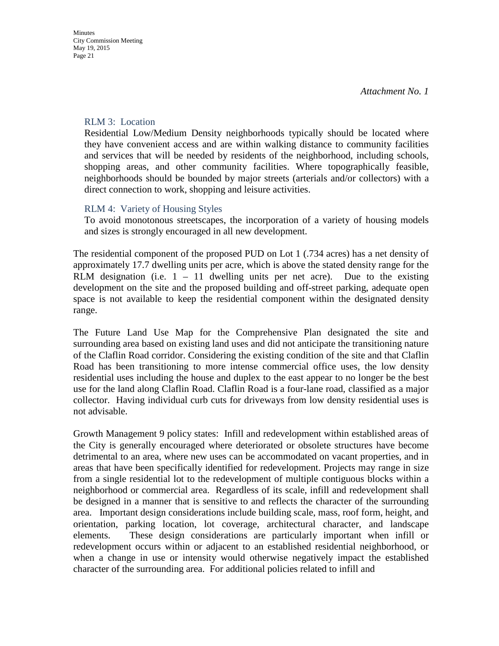#### RLM 3: Location

Residential Low/Medium Density neighborhoods typically should be located where they have convenient access and are within walking distance to community facilities and services that will be needed by residents of the neighborhood, including schools, shopping areas, and other community facilities. Where topographically feasible, neighborhoods should be bounded by major streets (arterials and/or collectors) with a direct connection to work, shopping and leisure activities.

## RLM 4: Variety of Housing Styles

To avoid monotonous streetscapes, the incorporation of a variety of housing models and sizes is strongly encouraged in all new development.

The residential component of the proposed PUD on Lot 1 (.734 acres) has a net density of approximately 17.7 dwelling units per acre, which is above the stated density range for the RLM designation (i.e.  $1 - 11$  dwelling units per net acre). Due to the existing development on the site and the proposed building and off-street parking, adequate open space is not available to keep the residential component within the designated density range.

The Future Land Use Map for the Comprehensive Plan designated the site and surrounding area based on existing land uses and did not anticipate the transitioning nature of the Claflin Road corridor. Considering the existing condition of the site and that Claflin Road has been transitioning to more intense commercial office uses, the low density residential uses including the house and duplex to the east appear to no longer be the best use for the land along Claflin Road. Claflin Road is a four-lane road, classified as a major collector. Having individual curb cuts for driveways from low density residential uses is not advisable.

Growth Management 9 policy states: Infill and redevelopment within established areas of the City is generally encouraged where deteriorated or obsolete structures have become detrimental to an area, where new uses can be accommodated on vacant properties, and in areas that have been specifically identified for redevelopment. Projects may range in size from a single residential lot to the redevelopment of multiple contiguous blocks within a neighborhood or commercial area. Regardless of its scale, infill and redevelopment shall be designed in a manner that is sensitive to and reflects the character of the surrounding area. Important design considerations include building scale, mass, roof form, height, and orientation, parking location, lot coverage, architectural character, and landscape elements. These design considerations are particularly important when infill or redevelopment occurs within or adjacent to an established residential neighborhood, or when a change in use or intensity would otherwise negatively impact the established character of the surrounding area. For additional policies related to infill and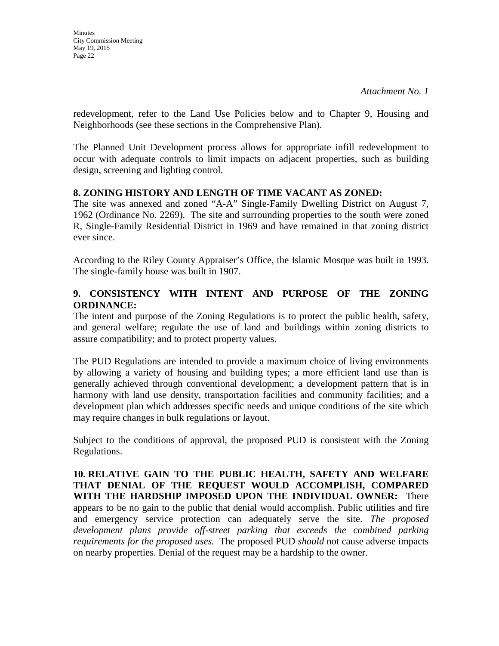redevelopment, refer to the Land Use Policies below and to Chapter 9, Housing and Neighborhoods (see these sections in the Comprehensive Plan).

The Planned Unit Development process allows for appropriate infill redevelopment to occur with adequate controls to limit impacts on adjacent properties, such as building design, screening and lighting control.

### **8. ZONING HISTORY AND LENGTH OF TIME VACANT AS ZONED:**

The site was annexed and zoned "A-A" Single-Family Dwelling District on August 7, 1962 (Ordinance No. 2269). The site and surrounding properties to the south were zoned R, Single-Family Residential District in 1969 and have remained in that zoning district ever since.

According to the Riley County Appraiser's Office, the Islamic Mosque was built in 1993. The single-family house was built in 1907.

## **9. CONSISTENCY WITH INTENT AND PURPOSE OF THE ZONING ORDINANCE:**

The intent and purpose of the Zoning Regulations is to protect the public health, safety, and general welfare; regulate the use of land and buildings within zoning districts to assure compatibility; and to protect property values.

The PUD Regulations are intended to provide a maximum choice of living environments by allowing a variety of housing and building types; a more efficient land use than is generally achieved through conventional development; a development pattern that is in harmony with land use density, transportation facilities and community facilities; and a development plan which addresses specific needs and unique conditions of the site which may require changes in bulk regulations or layout.

Subject to the conditions of approval, the proposed PUD is consistent with the Zoning Regulations.

**10. RELATIVE GAIN TO THE PUBLIC HEALTH, SAFETY AND WELFARE THAT DENIAL OF THE REQUEST WOULD ACCOMPLISH, COMPARED WITH THE HARDSHIP IMPOSED UPON THE INDIVIDUAL OWNER:** There appears to be no gain to the public that denial would accomplish. Public utilities and fire and emergency service protection can adequately serve the site. *The proposed*  development plans provide off-street parking that exceeds the combined parking *requirements for the proposed uses.* The proposed PUD *should* not cause adverse impacts on nearby properties. Denial of the request may be a hardship to the owner.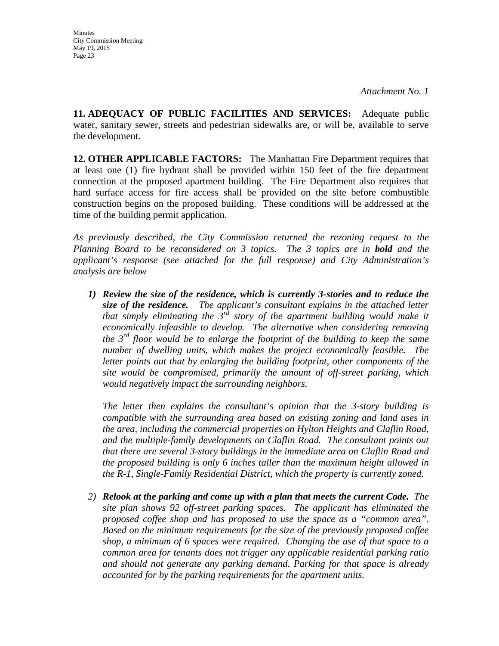**11. ADEQUACY OF PUBLIC FACILITIES AND SERVICES:** Adequate public water, sanitary sewer, streets and pedestrian sidewalks are, or will be, available to serve the development.

**12. OTHER APPLICABLE FACTORS:** The Manhattan Fire Department requires that at least one (1) fire hydrant shall be provided within 150 feet of the fire department connection at the proposed apartment building. The Fire Department also requires that hard surface access for fire access shall be provided on the site before combustible construction begins on the proposed building. These conditions will be addressed at the time of the building permit application.

*As previously described, the City Commission returned the rezoning request to the Planning Board to be reconsidered on 3 topics. The 3 topics are in bold and the applicant's response (see attached for the full response) and City Administration's analysis are below* 

*1) Review the size of the residence, which is currently 3-stories and to reduce the size of the residence. The applicant's consultant explains in the attached letter that simply eliminating the 3rd story of the apartment building would make it economically infeasible to develop. The alternative when considering removing the 3rd floor would be to enlarge the footprint of the building to keep the same number of dwelling units, which makes the project economically feasible. The letter points out that by enlarging the building footprint, other components of the site would be compromised, primarily the amount of off-street parking, which would negatively impact the surrounding neighbors.*

*The letter then explains the consultant's opinion that the 3-story building is compatible with the surrounding area based on existing zoning and land uses in the area, including the commercial properties on Hylton Heights and Claflin Road, and the multiple-family developments on Claflin Road. The consultant points out that there are several 3-story buildings in the immediate area on Claflin Road and the proposed building is only 6 inches taller than the maximum height allowed in the R-1, Single-Family Residential District, which the property is currently zoned.*

*2) Relook at the parking and come up with a plan that meets the current Code. The site plan shows 92 off-street parking spaces. The applicant has eliminated the proposed coffee shop and has proposed to use the space as a "common area". Based on the minimum requirements for the size of the previously proposed coffee shop, a minimum of 6 spaces were required. Changing the use of that space to a common area for tenants does not trigger any applicable residential parking ratio and should not generate any parking demand. Parking for that space is already accounted for by the parking requirements for the apartment units.*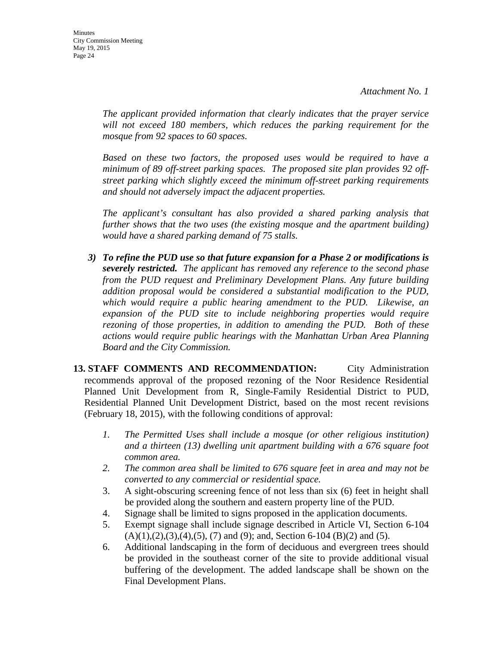*The applicant provided information that clearly indicates that the prayer service will not exceed 180 members, which reduces the parking requirement for the mosque from 92 spaces to 60 spaces.* 

*Based on these two factors, the proposed uses would be required to have a minimum of 89 off-street parking spaces. The proposed site plan provides 92 offstreet parking which slightly exceed the minimum off-street parking requirements and should not adversely impact the adjacent properties.* 

*The applicant's consultant has also provided a shared parking analysis that further shows that the two uses (the existing mosque and the apartment building) would have a shared parking demand of 75 stalls.*

*3) To refine the PUD use so that future expansion for a Phase 2 or modifications is severely restricted. The applicant has removed any reference to the second phase from the PUD request and Preliminary Development Plans. Any future building addition proposal would be considered a substantial modification to the PUD, which would require a public hearing amendment to the PUD. Likewise, an expansion of the PUD site to include neighboring properties would require rezoning of those properties, in addition to amending the PUD. Both of these actions would require public hearings with the Manhattan Urban Area Planning Board and the City Commission.*

**13. STAFF COMMENTS AND RECOMMENDATION:** City Administration recommends approval of the proposed rezoning of the Noor Residence Residential Planned Unit Development from R, Single-Family Residential District to PUD, Residential Planned Unit Development District, based on the most recent revisions (February 18, 2015), with the following conditions of approval:

- *1. The Permitted Uses shall include a mosque (or other religious institution) and a thirteen (13) dwelling unit apartment building with a 676 square foot common area.*
- *2. The common area shall be limited to 676 square feet in area and may not be converted to any commercial or residential space.*
- 3. A sight-obscuring screening fence of not less than six (6) feet in height shall be provided along the southern and eastern property line of the PUD.
- 4. Signage shall be limited to signs proposed in the application documents.
- 5. Exempt signage shall include signage described in Article VI, Section 6-104  $(A)(1),(2),(3),(4),(5),(7)$  and  $(9)$ ; and, Section 6-104  $(B)(2)$  and  $(5)$ .
- 6. Additional landscaping in the form of deciduous and evergreen trees should be provided in the southeast corner of the site to provide additional visual buffering of the development. The added landscape shall be shown on the Final Development Plans.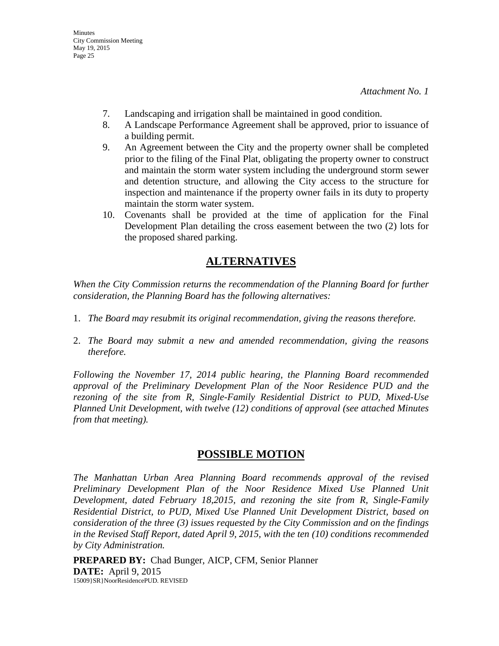- 7. Landscaping and irrigation shall be maintained in good condition.
- 8. A Landscape Performance Agreement shall be approved, prior to issuance of a building permit.
- 9. An Agreement between the City and the property owner shall be completed prior to the filing of the Final Plat, obligating the property owner to construct and maintain the storm water system including the underground storm sewer and detention structure, and allowing the City access to the structure for inspection and maintenance if the property owner fails in its duty to property maintain the storm water system.
- 10. Covenants shall be provided at the time of application for the Final Development Plan detailing the cross easement between the two (2) lots for the proposed shared parking.

## **ALTERNATIVES**

*When the City Commission returns the recommendation of the Planning Board for further consideration, the Planning Board has the following alternatives:*

- 1. *The Board may resubmit its original recommendation, giving the reasons therefore.*
- 2. *The Board may submit a new and amended recommendation, giving the reasons therefore.*

*Following the November 17, 2014 public hearing, the Planning Board recommended approval of the Preliminary Development Plan of the Noor Residence PUD and the rezoning of the site from R, Single-Family Residential District to PUD, Mixed-Use Planned Unit Development, with twelve (12) conditions of approval (see attached Minutes from that meeting).*

## **POSSIBLE MOTION**

*The Manhattan Urban Area Planning Board recommends approval of the revised Preliminary Development Plan of the Noor Residence Mixed Use Planned Unit Development, dated February 18,2015, and rezoning the site from R, Single-Family Residential District, to PUD, Mixed Use Planned Unit Development District, based on consideration of the three (3) issues requested by the City Commission and on the findings in the Revised Staff Report, dated April 9, 2015, with the ten (10) conditions recommended by City Administration.* 

**PREPARED BY:** Chad Bunger, AICP, CFM, Senior Planner **DATE:** April 9, 2015 15009}SR}NoorResidencePUD. REVISED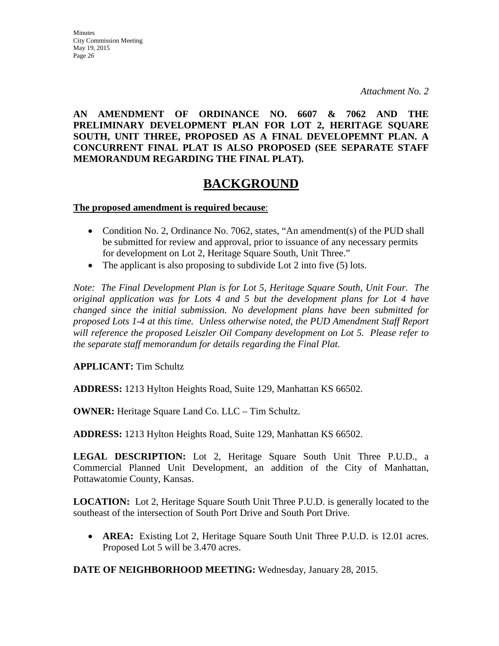**AN AMENDMENT OF ORDINANCE NO. 6607 & 7062 AND THE PRELIMINARY DEVELOPMENT PLAN FOR LOT 2, HERITAGE SQUARE SOUTH, UNIT THREE, PROPOSED AS A FINAL DEVELOPEMNT PLAN. A CONCURRENT FINAL PLAT IS ALSO PROPOSED (SEE SEPARATE STAFF MEMORANDUM REGARDING THE FINAL PLAT).**

# **BACKGROUND**

**The proposed amendment is required because**:

- Condition No. 2, Ordinance No. 7062, states, "An amendment(s) of the PUD shall be submitted for review and approval, prior to issuance of any necessary permits for development on Lot 2, Heritage Square South, Unit Three."
- The applicant is also proposing to subdivide Lot 2 into five (5) lots.

*Note: The Final Development Plan is for Lot 5, Heritage Square South, Unit Four. The original application was for Lots 4 and 5 but the development plans for Lot 4 have changed since the initial submission. No development plans have been submitted for proposed Lots 1-4 at this time. Unless otherwise noted, the PUD Amendment Staff Report will reference the proposed Leiszler Oil Company development on Lot 5. Please refer to the separate staff memorandum for details regarding the Final Plat.*

**APPLICANT:** Tim Schultz

**ADDRESS:** 1213 Hylton Heights Road, Suite 129, Manhattan KS 66502.

**OWNER:** Heritage Square Land Co. LLC – Tim Schultz.

**ADDRESS:** 1213 Hylton Heights Road, Suite 129, Manhattan KS 66502.

**LEGAL DESCRIPTION:** Lot 2, Heritage Square South Unit Three P.U.D., a Commercial Planned Unit Development, an addition of the City of Manhattan, Pottawatomie County, Kansas.

**LOCATION:** Lot 2, Heritage Square South Unit Three P.U.D. is generally located to the southeast of the intersection of South Port Drive and South Port Drive.

• **AREA:** Existing Lot 2, Heritage Square South Unit Three P.U.D. is 12.01 acres. Proposed Lot 5 will be 3.470 acres.

**DATE OF NEIGHBORHOOD MEETING:** Wednesday, January 28, 2015.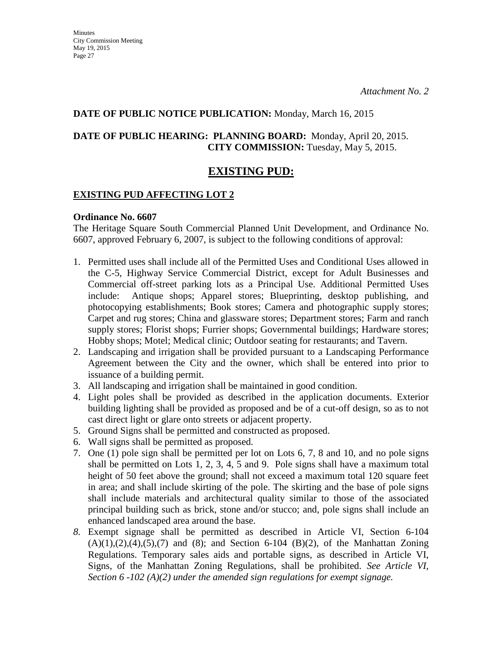### **DATE OF PUBLIC NOTICE PUBLICATION:** Monday, March 16, 2015

## **DATE OF PUBLIC HEARING: PLANNING BOARD:** Monday, April 20, 2015. **CITY COMMISSION:** Tuesday, May 5, 2015.

## **EXISTING PUD:**

## **EXISTING PUD AFFECTING LOT 2**

## **Ordinance No. 6607**

The Heritage Square South Commercial Planned Unit Development, and Ordinance No. 6607, approved February 6, 2007, is subject to the following conditions of approval:

- 1. Permitted uses shall include all of the Permitted Uses and Conditional Uses allowed in the C-5, Highway Service Commercial District, except for Adult Businesses and Commercial off-street parking lots as a Principal Use. Additional Permitted Uses include: Antique shops; Apparel stores; Blueprinting, desktop publishing, and photocopying establishments; Book stores; Camera and photographic supply stores; Carpet and rug stores; China and glassware stores; Department stores; Farm and ranch supply stores; Florist shops; Furrier shops; Governmental buildings; Hardware stores; Hobby shops; Motel; Medical clinic; Outdoor seating for restaurants; and Tavern.
- 2. Landscaping and irrigation shall be provided pursuant to a Landscaping Performance Agreement between the City and the owner, which shall be entered into prior to issuance of a building permit.
- 3. All landscaping and irrigation shall be maintained in good condition.
- 4. Light poles shall be provided as described in the application documents. Exterior building lighting shall be provided as proposed and be of a cut-off design, so as to not cast direct light or glare onto streets or adjacent property.
- 5. Ground Signs shall be permitted and constructed as proposed.
- 6. Wall signs shall be permitted as proposed.
- 7. One (1) pole sign shall be permitted per lot on Lots 6, 7, 8 and 10, and no pole signs shall be permitted on Lots 1, 2, 3, 4, 5 and 9. Pole signs shall have a maximum total height of 50 feet above the ground; shall not exceed a maximum total 120 square feet in area; and shall include skirting of the pole. The skirting and the base of pole signs shall include materials and architectural quality similar to those of the associated principal building such as brick, stone and/or stucco; and, pole signs shall include an enhanced landscaped area around the base.
- *8.* Exempt signage shall be permitted as described in Article VI, Section 6-104  $(A)(1),(2),(4),(5),(7)$  and  $(8)$ ; and Section 6-104  $(B)(2)$ , of the Manhattan Zoning Regulations. Temporary sales aids and portable signs, as described in Article VI, Signs, of the Manhattan Zoning Regulations, shall be prohibited. *See Article VI, Section 6 -102 (A)(2) under the amended sign regulations for exempt signage.*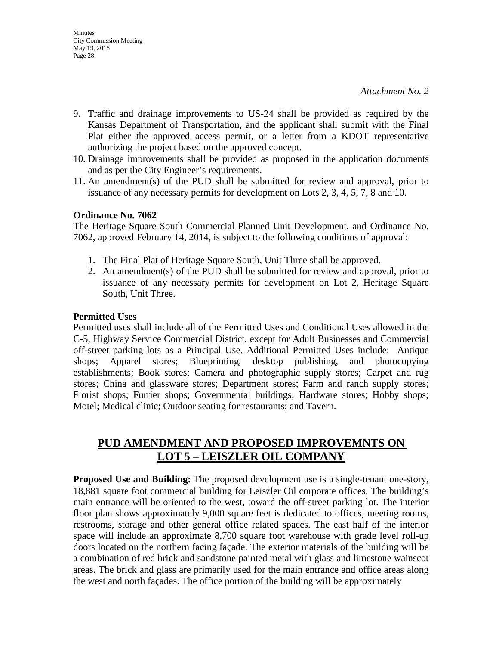- 9. Traffic and drainage improvements to US-24 shall be provided as required by the Kansas Department of Transportation, and the applicant shall submit with the Final Plat either the approved access permit, or a letter from a KDOT representative authorizing the project based on the approved concept.
- 10. Drainage improvements shall be provided as proposed in the application documents and as per the City Engineer's requirements.
- 11. An amendment(s) of the PUD shall be submitted for review and approval, prior to issuance of any necessary permits for development on Lots 2, 3, 4, 5, 7, 8 and 10.

#### **Ordinance No. 7062**

The Heritage Square South Commercial Planned Unit Development, and Ordinance No. 7062, approved February 14, 2014, is subject to the following conditions of approval:

- 1. The Final Plat of Heritage Square South, Unit Three shall be approved.
- 2. An amendment(s) of the PUD shall be submitted for review and approval, prior to issuance of any necessary permits for development on Lot 2, Heritage Square South, Unit Three.

### **Permitted Uses**

Permitted uses shall include all of the Permitted Uses and Conditional Uses allowed in the C-5, Highway Service Commercial District, except for Adult Businesses and Commercial off-street parking lots as a Principal Use. Additional Permitted Uses include: Antique shops; Apparel stores; Blueprinting, desktop publishing, and photocopying establishments; Book stores; Camera and photographic supply stores; Carpet and rug stores; China and glassware stores; Department stores; Farm and ranch supply stores; Florist shops; Furrier shops; Governmental buildings; Hardware stores; Hobby shops; Motel; Medical clinic; Outdoor seating for restaurants; and Tavern.

## **PUD AMENDMENT AND PROPOSED IMPROVEMNTS ON LOT 5 – LEISZLER OIL COMPANY**

**Proposed Use and Building:** The proposed development use is a single-tenant one-story, 18,881 square foot commercial building for Leiszler Oil corporate offices. The building's main entrance will be oriented to the west, toward the off-street parking lot. The interior floor plan shows approximately 9,000 square feet is dedicated to offices, meeting rooms, restrooms, storage and other general office related spaces. The east half of the interior space will include an approximate 8,700 square foot warehouse with grade level roll-up doors located on the northern facing façade. The exterior materials of the building will be a combination of red brick and sandstone painted metal with glass and limestone wainscot areas. The brick and glass are primarily used for the main entrance and office areas along the west and north façades. The office portion of the building will be approximately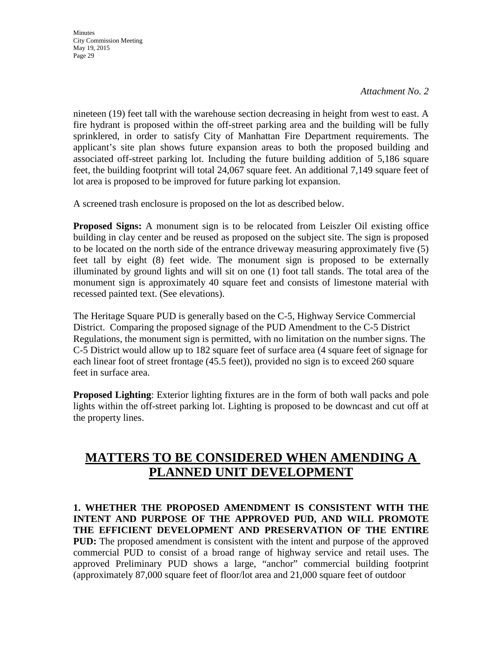**Minutes** City Commission Meeting May 19, 2015 Page 29

*Attachment No. 2*

nineteen (19) feet tall with the warehouse section decreasing in height from west to east. A fire hydrant is proposed within the off-street parking area and the building will be fully sprinklered, in order to satisfy City of Manhattan Fire Department requirements. The applicant's site plan shows future expansion areas to both the proposed building and associated off-street parking lot. Including the future building addition of 5,186 square feet, the building footprint will total 24,067 square feet. An additional 7,149 square feet of lot area is proposed to be improved for future parking lot expansion.

A screened trash enclosure is proposed on the lot as described below.

**Proposed Signs:** A monument sign is to be relocated from Leiszler Oil existing office building in clay center and be reused as proposed on the subject site. The sign is proposed to be located on the north side of the entrance driveway measuring approximately five (5) feet tall by eight (8) feet wide. The monument sign is proposed to be externally illuminated by ground lights and will sit on one (1) foot tall stands. The total area of the monument sign is approximately 40 square feet and consists of limestone material with recessed painted text. (See elevations).

The Heritage Square PUD is generally based on the C-5, Highway Service Commercial District. Comparing the proposed signage of the PUD Amendment to the C-5 District Regulations, the monument sign is permitted, with no limitation on the number signs. The C-5 District would allow up to 182 square feet of surface area (4 square feet of signage for each linear foot of street frontage (45.5 feet)), provided no sign is to exceed 260 square feet in surface area.

**Proposed Lighting**: Exterior lighting fixtures are in the form of both wall packs and pole lights within the off-street parking lot. Lighting is proposed to be downcast and cut off at the property lines.

# **MATTERS TO BE CONSIDERED WHEN AMENDING A PLANNED UNIT DEVELOPMENT**

**1. WHETHER THE PROPOSED AMENDMENT IS CONSISTENT WITH THE INTENT AND PURPOSE OF THE APPROVED PUD, AND WILL PROMOTE THE EFFICIENT DEVELOPMENT AND PRESERVATION OF THE ENTIRE PUD:** The proposed amendment is consistent with the intent and purpose of the approved commercial PUD to consist of a broad range of highway service and retail uses. The approved Preliminary PUD shows a large, "anchor" commercial building footprint (approximately 87,000 square feet of floor/lot area and 21,000 square feet of outdoor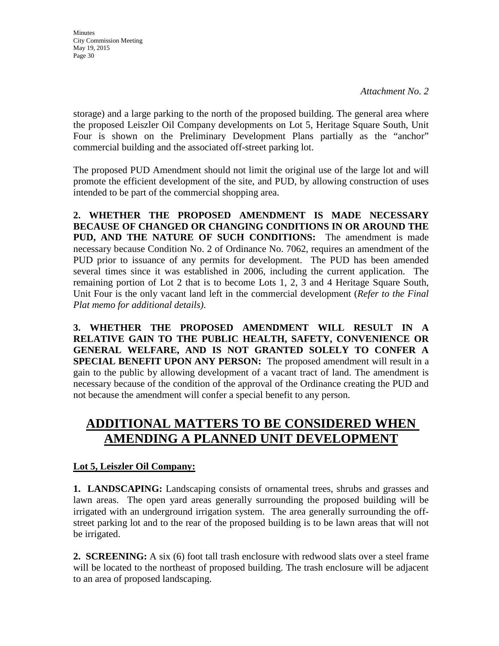storage) and a large parking to the north of the proposed building. The general area where the proposed Leiszler Oil Company developments on Lot 5, Heritage Square South, Unit Four is shown on the Preliminary Development Plans partially as the "anchor" commercial building and the associated off-street parking lot.

The proposed PUD Amendment should not limit the original use of the large lot and will promote the efficient development of the site, and PUD, by allowing construction of uses intended to be part of the commercial shopping area.

**2. WHETHER THE PROPOSED AMENDMENT IS MADE NECESSARY BECAUSE OF CHANGED OR CHANGING CONDITIONS IN OR AROUND THE PUD, AND THE NATURE OF SUCH CONDITIONS:** The amendment is made necessary because Condition No. 2 of Ordinance No. 7062, requires an amendment of the PUD prior to issuance of any permits for development. The PUD has been amended several times since it was established in 2006, including the current application. The remaining portion of Lot 2 that is to become Lots 1, 2, 3 and 4 Heritage Square South, Unit Four is the only vacant land left in the commercial development (*Refer to the Final Plat memo for additional details)*.

**3. WHETHER THE PROPOSED AMENDMENT WILL RESULT IN A RELATIVE GAIN TO THE PUBLIC HEALTH, SAFETY, CONVENIENCE OR GENERAL WELFARE, AND IS NOT GRANTED SOLELY TO CONFER A SPECIAL BENEFIT UPON ANY PERSON:** The proposed amendment will result in a gain to the public by allowing development of a vacant tract of land. The amendment is necessary because of the condition of the approval of the Ordinance creating the PUD and not because the amendment will confer a special benefit to any person.

# **ADDITIONAL MATTERS TO BE CONSIDERED WHEN AMENDING A PLANNED UNIT DEVELOPMENT**

## **Lot 5, Leiszler Oil Company:**

**1. LANDSCAPING:** Landscaping consists of ornamental trees, shrubs and grasses and lawn areas. The open yard areas generally surrounding the proposed building will be irrigated with an underground irrigation system. The area generally surrounding the offstreet parking lot and to the rear of the proposed building is to be lawn areas that will not be irrigated.

**2. SCREENING:** A six (6) foot tall trash enclosure with redwood slats over a steel frame will be located to the northeast of proposed building. The trash enclosure will be adjacent to an area of proposed landscaping.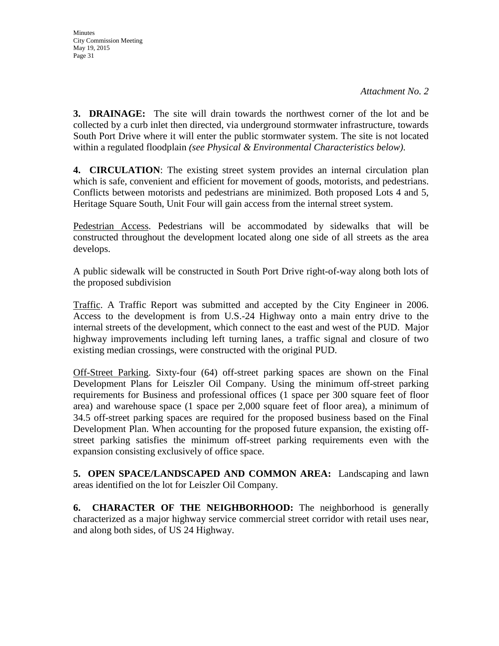**3. DRAINAGE:** The site will drain towards the northwest corner of the lot and be collected by a curb inlet then directed, via underground stormwater infrastructure, towards South Port Drive where it will enter the public stormwater system. The site is not located within a regulated floodplain *(see Physical & Environmental Characteristics below)*.

**4. CIRCULATION**: The existing street system provides an internal circulation plan which is safe, convenient and efficient for movement of goods, motorists, and pedestrians. Conflicts between motorists and pedestrians are minimized. Both proposed Lots 4 and 5, Heritage Square South, Unit Four will gain access from the internal street system.

Pedestrian Access. Pedestrians will be accommodated by sidewalks that will be constructed throughout the development located along one side of all streets as the area develops.

A public sidewalk will be constructed in South Port Drive right-of-way along both lots of the proposed subdivision

Traffic. A Traffic Report was submitted and accepted by the City Engineer in 2006. Access to the development is from U.S.-24 Highway onto a main entry drive to the internal streets of the development, which connect to the east and west of the PUD. Major highway improvements including left turning lanes, a traffic signal and closure of two existing median crossings, were constructed with the original PUD.

Off-Street Parking. Sixty-four (64) off-street parking spaces are shown on the Final Development Plans for Leiszler Oil Company. Using the minimum off-street parking requirements for Business and professional offices (1 space per 300 square feet of floor area) and warehouse space (1 space per 2,000 square feet of floor area), a minimum of 34.5 off-street parking spaces are required for the proposed business based on the Final Development Plan. When accounting for the proposed future expansion, the existing offstreet parking satisfies the minimum off-street parking requirements even with the expansion consisting exclusively of office space.

**5. OPEN SPACE/LANDSCAPED AND COMMON AREA:** Landscaping and lawn areas identified on the lot for Leiszler Oil Company.

**6. CHARACTER OF THE NEIGHBORHOOD:** The neighborhood is generally characterized as a major highway service commercial street corridor with retail uses near, and along both sides, of US 24 Highway.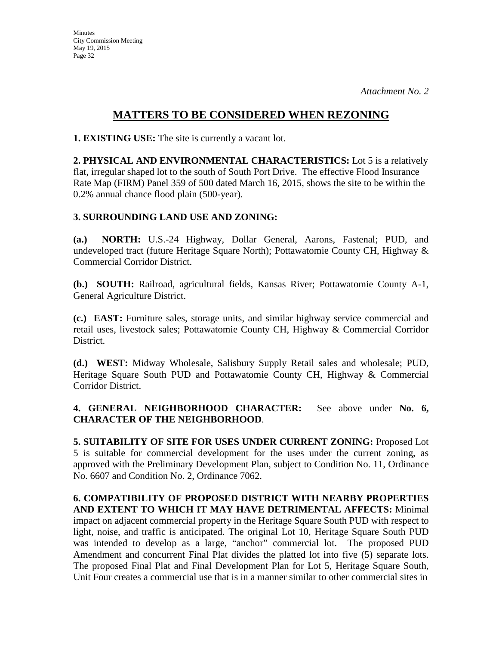## **MATTERS TO BE CONSIDERED WHEN REZONING**

**1. EXISTING USE:** The site is currently a vacant lot.

**2. PHYSICAL AND ENVIRONMENTAL CHARACTERISTICS:** Lot 5 is a relatively flat, irregular shaped lot to the south of South Port Drive. The effective Flood Insurance Rate Map (FIRM) Panel 359 of 500 dated March 16, 2015, shows the site to be within the 0.2% annual chance flood plain (500-year).

## **3. SURROUNDING LAND USE AND ZONING:**

**(a.) NORTH:** U.S.-24 Highway, Dollar General, Aarons, Fastenal; PUD, and undeveloped tract (future Heritage Square North); Pottawatomie County CH, Highway & Commercial Corridor District.

**(b.) SOUTH:** Railroad, agricultural fields, Kansas River; Pottawatomie County A-1, General Agriculture District.

**(c.) EAST:** Furniture sales, storage units, and similar highway service commercial and retail uses, livestock sales; Pottawatomie County CH, Highway & Commercial Corridor District.

**(d.) WEST:** Midway Wholesale, Salisbury Supply Retail sales and wholesale; PUD, Heritage Square South PUD and Pottawatomie County CH, Highway & Commercial Corridor District.

**4. GENERAL NEIGHBORHOOD CHARACTER:** See above under **No. 6, CHARACTER OF THE NEIGHBORHOOD**.

**5. SUITABILITY OF SITE FOR USES UNDER CURRENT ZONING:** Proposed Lot 5 is suitable for commercial development for the uses under the current zoning, as approved with the Preliminary Development Plan, subject to Condition No. 11, Ordinance No. 6607 and Condition No. 2, Ordinance 7062.

**6. COMPATIBILITY OF PROPOSED DISTRICT WITH NEARBY PROPERTIES AND EXTENT TO WHICH IT MAY HAVE DETRIMENTAL AFFECTS:** Minimal impact on adjacent commercial property in the Heritage Square South PUD with respect to light, noise, and traffic is anticipated. The original Lot 10, Heritage Square South PUD was intended to develop as a large, "anchor" commercial lot. The proposed PUD Amendment and concurrent Final Plat divides the platted lot into five (5) separate lots. The proposed Final Plat and Final Development Plan for Lot 5, Heritage Square South, Unit Four creates a commercial use that is in a manner similar to other commercial sites in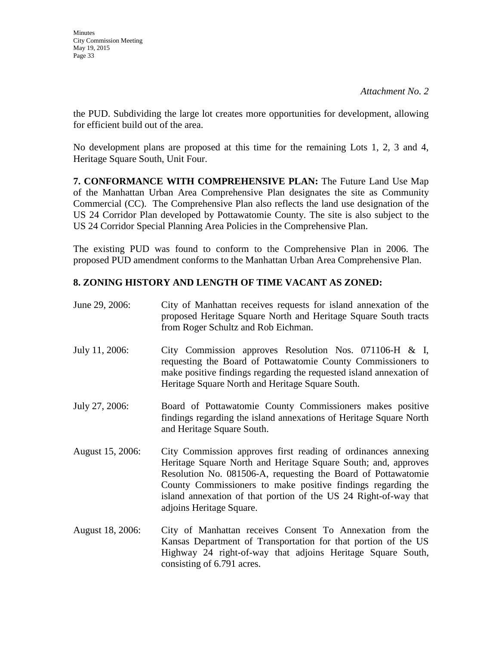the PUD. Subdividing the large lot creates more opportunities for development, allowing for efficient build out of the area.

No development plans are proposed at this time for the remaining Lots 1, 2, 3 and 4, Heritage Square South, Unit Four.

**7. CONFORMANCE WITH COMPREHENSIVE PLAN:** The Future Land Use Map of the Manhattan Urban Area Comprehensive Plan designates the site as Community Commercial (CC). The Comprehensive Plan also reflects the land use designation of the US 24 Corridor Plan developed by Pottawatomie County. The site is also subject to the US 24 Corridor Special Planning Area Policies in the Comprehensive Plan.

The existing PUD was found to conform to the Comprehensive Plan in 2006. The proposed PUD amendment conforms to the Manhattan Urban Area Comprehensive Plan.

## **8. ZONING HISTORY AND LENGTH OF TIME VACANT AS ZONED:**

| June 29, 2006:   | City of Manhattan receives requests for island annexation of the<br>proposed Heritage Square North and Heritage Square South tracts<br>from Roger Schultz and Rob Eichman.                                                                                                                                                                                       |
|------------------|------------------------------------------------------------------------------------------------------------------------------------------------------------------------------------------------------------------------------------------------------------------------------------------------------------------------------------------------------------------|
| July 11, 2006:   | City Commission approves Resolution Nos. 071106-H & I,<br>requesting the Board of Pottawatomie County Commissioners to<br>make positive findings regarding the requested island annexation of<br>Heritage Square North and Heritage Square South.                                                                                                                |
| July 27, 2006:   | Board of Pottawatomie County Commissioners makes positive<br>findings regarding the island annexations of Heritage Square North<br>and Heritage Square South.                                                                                                                                                                                                    |
| August 15, 2006: | City Commission approves first reading of ordinances annexing<br>Heritage Square North and Heritage Square South; and, approves<br>Resolution No. 081506-A, requesting the Board of Pottawatomie<br>County Commissioners to make positive findings regarding the<br>island annexation of that portion of the US 24 Right-of-way that<br>adjoins Heritage Square. |
| August 18, 2006: | City of Manhattan receives Consent To Annexation from the<br>Kansas Department of Transportation for that portion of the US<br>Highway 24 right-of-way that adjoins Heritage Square South,<br>consisting of 6.791 acres.                                                                                                                                         |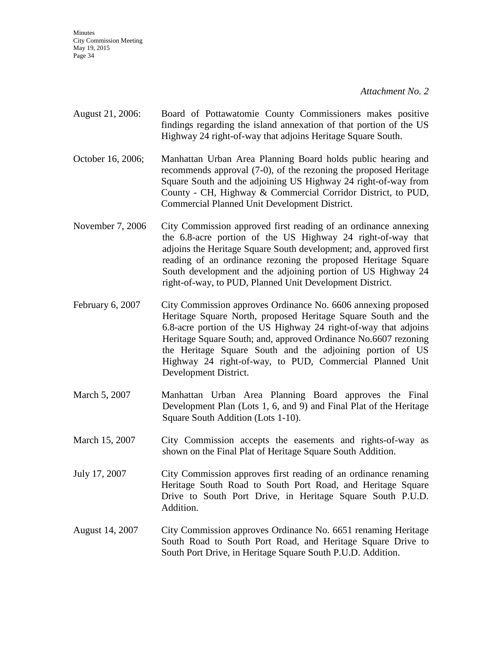**Minutes** City Commission Meeting May 19, 2015 Page 34

*Attachment No. 2*

- August 21, 2006: Board of Pottawatomie County Commissioners makes positive findings regarding the island annexation of that portion of the US Highway 24 right-of-way that adjoins Heritage Square South.
- October 16, 2006; Manhattan Urban Area Planning Board holds public hearing and recommends approval (7-0), of the rezoning the proposed Heritage Square South and the adjoining US Highway 24 right-of-way from County - CH, Highway & Commercial Corridor District, to PUD, Commercial Planned Unit Development District.
- November 7, 2006 City Commission approved first reading of an ordinance annexing the 6.8-acre portion of the US Highway 24 right-of-way that adjoins the Heritage Square South development; and, approved first reading of an ordinance rezoning the proposed Heritage Square South development and the adjoining portion of US Highway 24 right-of-way, to PUD, Planned Unit Development District.
- February 6, 2007 City Commission approves Ordinance No. 6606 annexing proposed Heritage Square North, proposed Heritage Square South and the 6.8-acre portion of the US Highway 24 right-of-way that adjoins Heritage Square South; and, approved Ordinance No.6607 rezoning the Heritage Square South and the adjoining portion of US Highway 24 right-of-way, to PUD, Commercial Planned Unit Development District.
- March 5, 2007 Manhattan Urban Area Planning Board approves the Final Development Plan (Lots 1, 6, and 9) and Final Plat of the Heritage Square South Addition (Lots 1-10).
- March 15, 2007 City Commission accepts the easements and rights-of-way as shown on the Final Plat of Heritage Square South Addition.
- July 17, 2007 City Commission approves first reading of an ordinance renaming Heritage South Road to South Port Road, and Heritage Square Drive to South Port Drive, in Heritage Square South P.U.D. Addition.
- August 14, 2007 City Commission approves Ordinance No. 6651 renaming Heritage South Road to South Port Road, and Heritage Square Drive to South Port Drive, in Heritage Square South P.U.D. Addition.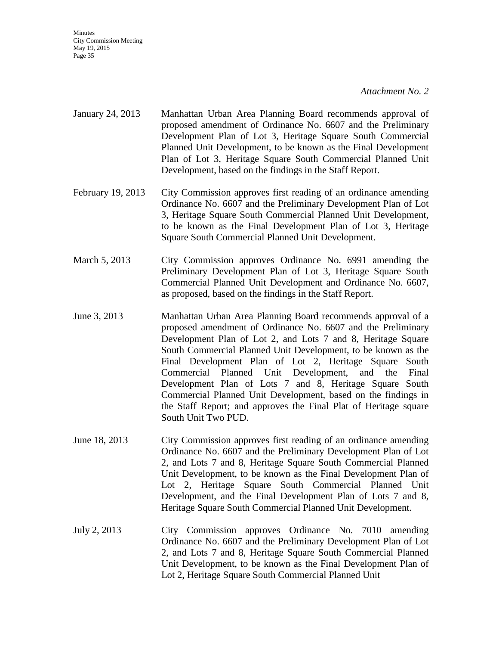**Minutes** City Commission Meeting May 19, 2015 Page 35

#### *Attachment No. 2*

- January 24, 2013 Manhattan Urban Area Planning Board recommends approval of proposed amendment of Ordinance No. 6607 and the Preliminary Development Plan of Lot 3, Heritage Square South Commercial Planned Unit Development, to be known as the Final Development Plan of Lot 3, Heritage Square South Commercial Planned Unit Development, based on the findings in the Staff Report.
- February 19, 2013 City Commission approves first reading of an ordinance amending Ordinance No. 6607 and the Preliminary Development Plan of Lot 3, Heritage Square South Commercial Planned Unit Development, to be known as the Final Development Plan of Lot 3, Heritage Square South Commercial Planned Unit Development.
- March 5, 2013 City Commission approves Ordinance No. 6991 amending the Preliminary Development Plan of Lot 3, Heritage Square South Commercial Planned Unit Development and Ordinance No. 6607, as proposed, based on the findings in the Staff Report.
- June 3, 2013 Manhattan Urban Area Planning Board recommends approval of a proposed amendment of Ordinance No. 6607 and the Preliminary Development Plan of Lot 2, and Lots 7 and 8, Heritage Square South Commercial Planned Unit Development, to be known as the Final Development Plan of Lot 2, Heritage Square South Commercial Planned Unit Development, and the Final Development Plan of Lots 7 and 8, Heritage Square South Commercial Planned Unit Development, based on the findings in the Staff Report; and approves the Final Plat of Heritage square South Unit Two PUD.
- June 18, 2013 City Commission approves first reading of an ordinance amending Ordinance No. 6607 and the Preliminary Development Plan of Lot 2, and Lots 7 and 8, Heritage Square South Commercial Planned Unit Development, to be known as the Final Development Plan of Lot 2, Heritage Square South Commercial Planned Unit Development, and the Final Development Plan of Lots 7 and 8, Heritage Square South Commercial Planned Unit Development.
- July 2, 2013 City Commission approves Ordinance No. 7010 amending Ordinance No. 6607 and the Preliminary Development Plan of Lot 2, and Lots 7 and 8, Heritage Square South Commercial Planned Unit Development, to be known as the Final Development Plan of Lot 2, Heritage Square South Commercial Planned Unit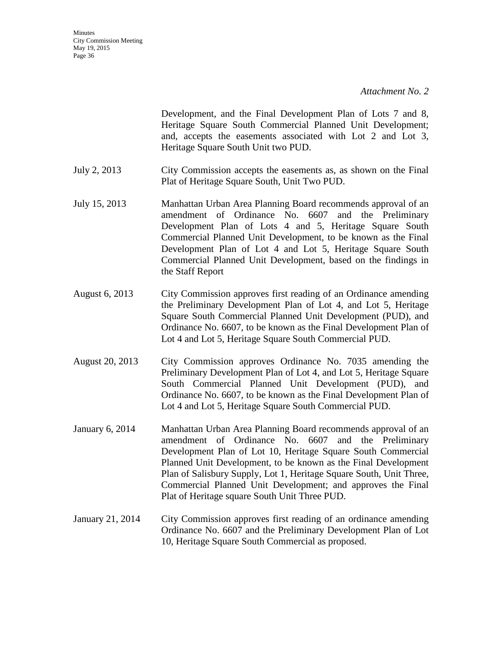Development, and the Final Development Plan of Lots 7 and 8, Heritage Square South Commercial Planned Unit Development; and, accepts the easements associated with Lot 2 and Lot 3, Heritage Square South Unit two PUD.

- July 2, 2013 City Commission accepts the easements as, as shown on the Final Plat of Heritage Square South, Unit Two PUD.
- July 15, 2013 Manhattan Urban Area Planning Board recommends approval of an amendment of Ordinance No. 6607 and the Preliminary Development Plan of Lots 4 and 5, Heritage Square South Commercial Planned Unit Development, to be known as the Final Development Plan of Lot 4 and Lot 5, Heritage Square South Commercial Planned Unit Development, based on the findings in the Staff Report
- August 6, 2013 City Commission approves first reading of an Ordinance amending the Preliminary Development Plan of Lot 4, and Lot 5, Heritage Square South Commercial Planned Unit Development (PUD), and Ordinance No. 6607, to be known as the Final Development Plan of Lot 4 and Lot 5, Heritage Square South Commercial PUD.
- August 20, 2013 City Commission approves Ordinance No. 7035 amending the Preliminary Development Plan of Lot 4, and Lot 5, Heritage Square South Commercial Planned Unit Development (PUD), and Ordinance No. 6607, to be known as the Final Development Plan of Lot 4 and Lot 5, Heritage Square South Commercial PUD.
- January 6, 2014 Manhattan Urban Area Planning Board recommends approval of an amendment of Ordinance No. 6607 and the Preliminary Development Plan of Lot 10, Heritage Square South Commercial Planned Unit Development, to be known as the Final Development Plan of Salisbury Supply, Lot 1, Heritage Square South, Unit Three, Commercial Planned Unit Development; and approves the Final Plat of Heritage square South Unit Three PUD.
- January 21, 2014 City Commission approves first reading of an ordinance amending Ordinance No. 6607 and the Preliminary Development Plan of Lot 10, Heritage Square South Commercial as proposed.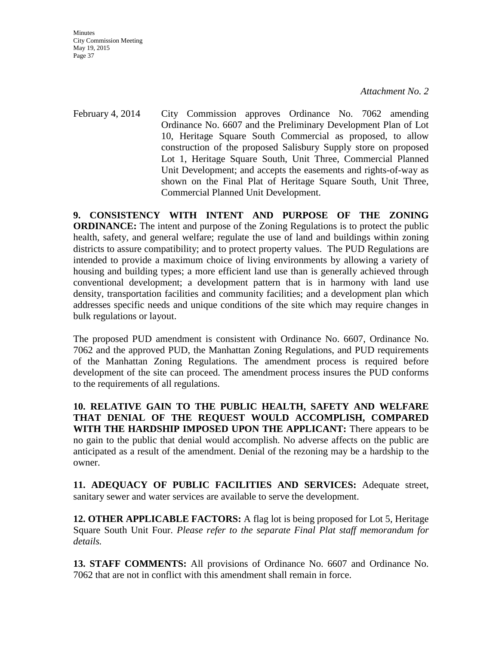**Minutes** City Commission Meeting May 19, 2015 Page 37

February 4, 2014 City Commission approves Ordinance No. 7062 amending Ordinance No. 6607 and the Preliminary Development Plan of Lot 10, Heritage Square South Commercial as proposed, to allow construction of the proposed Salisbury Supply store on proposed Lot 1, Heritage Square South, Unit Three, Commercial Planned Unit Development; and accepts the easements and rights-of-way as shown on the Final Plat of Heritage Square South, Unit Three, Commercial Planned Unit Development.

**9. CONSISTENCY WITH INTENT AND PURPOSE OF THE ZONING ORDINANCE:** The intent and purpose of the Zoning Regulations is to protect the public health, safety, and general welfare; regulate the use of land and buildings within zoning districts to assure compatibility; and to protect property values. The PUD Regulations are intended to provide a maximum choice of living environments by allowing a variety of housing and building types; a more efficient land use than is generally achieved through conventional development; a development pattern that is in harmony with land use density, transportation facilities and community facilities; and a development plan which addresses specific needs and unique conditions of the site which may require changes in bulk regulations or layout.

The proposed PUD amendment is consistent with Ordinance No. 6607, Ordinance No. 7062 and the approved PUD, the Manhattan Zoning Regulations, and PUD requirements of the Manhattan Zoning Regulations. The amendment process is required before development of the site can proceed. The amendment process insures the PUD conforms to the requirements of all regulations.

**10. RELATIVE GAIN TO THE PUBLIC HEALTH, SAFETY AND WELFARE THAT DENIAL OF THE REQUEST WOULD ACCOMPLISH, COMPARED WITH THE HARDSHIP IMPOSED UPON THE APPLICANT:** There appears to be no gain to the public that denial would accomplish. No adverse affects on the public are anticipated as a result of the amendment. Denial of the rezoning may be a hardship to the owner.

**11. ADEQUACY OF PUBLIC FACILITIES AND SERVICES:** Adequate street, sanitary sewer and water services are available to serve the development.

**12. OTHER APPLICABLE FACTORS:** A flag lot is being proposed for Lot 5, Heritage Square South Unit Four. *Please refer to the separate Final Plat staff memorandum for details.*

**13. STAFF COMMENTS:** All provisions of Ordinance No. 6607 and Ordinance No. 7062 that are not in conflict with this amendment shall remain in force.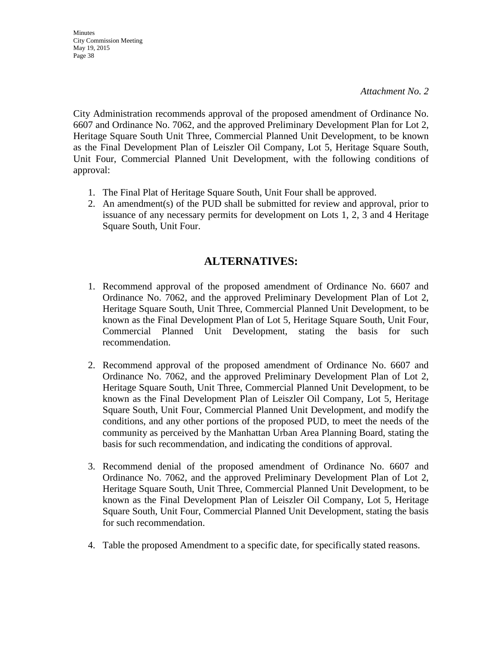**Minutes** City Commission Meeting May 19, 2015 Page 38

City Administration recommends approval of the proposed amendment of Ordinance No. 6607 and Ordinance No. 7062, and the approved Preliminary Development Plan for Lot 2, Heritage Square South Unit Three, Commercial Planned Unit Development, to be known as the Final Development Plan of Leiszler Oil Company, Lot 5, Heritage Square South, Unit Four, Commercial Planned Unit Development, with the following conditions of approval:

- 1. The Final Plat of Heritage Square South, Unit Four shall be approved.
- 2. An amendment(s) of the PUD shall be submitted for review and approval, prior to issuance of any necessary permits for development on Lots 1, 2, 3 and 4 Heritage Square South, Unit Four.

## **ALTERNATIVES:**

- 1. Recommend approval of the proposed amendment of Ordinance No. 6607 and Ordinance No. 7062, and the approved Preliminary Development Plan of Lot 2, Heritage Square South, Unit Three, Commercial Planned Unit Development, to be known as the Final Development Plan of Lot 5, Heritage Square South, Unit Four, Commercial Planned Unit Development, stating the basis for such recommendation.
- 2. Recommend approval of the proposed amendment of Ordinance No. 6607 and Ordinance No. 7062, and the approved Preliminary Development Plan of Lot 2, Heritage Square South, Unit Three, Commercial Planned Unit Development, to be known as the Final Development Plan of Leiszler Oil Company, Lot 5, Heritage Square South, Unit Four, Commercial Planned Unit Development, and modify the conditions, and any other portions of the proposed PUD, to meet the needs of the community as perceived by the Manhattan Urban Area Planning Board, stating the basis for such recommendation, and indicating the conditions of approval.
- 3. Recommend denial of the proposed amendment of Ordinance No. 6607 and Ordinance No. 7062, and the approved Preliminary Development Plan of Lot 2, Heritage Square South, Unit Three, Commercial Planned Unit Development, to be known as the Final Development Plan of Leiszler Oil Company, Lot 5, Heritage Square South, Unit Four, Commercial Planned Unit Development, stating the basis for such recommendation.
- 4. Table the proposed Amendment to a specific date, for specifically stated reasons.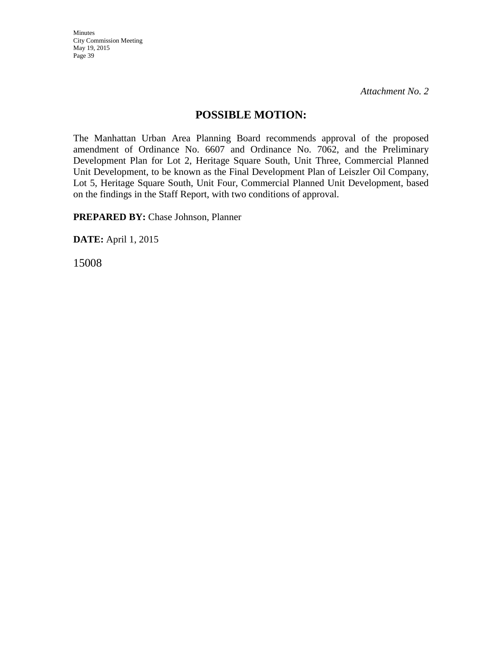## **POSSIBLE MOTION:**

The Manhattan Urban Area Planning Board recommends approval of the proposed amendment of Ordinance No. 6607 and Ordinance No. 7062, and the Preliminary Development Plan for Lot 2, Heritage Square South, Unit Three, Commercial Planned Unit Development, to be known as the Final Development Plan of Leiszler Oil Company, Lot 5, Heritage Square South, Unit Four, Commercial Planned Unit Development, based on the findings in the Staff Report, with two conditions of approval.

**PREPARED BY: Chase Johnson, Planner** 

**DATE:** April 1, 2015

15008